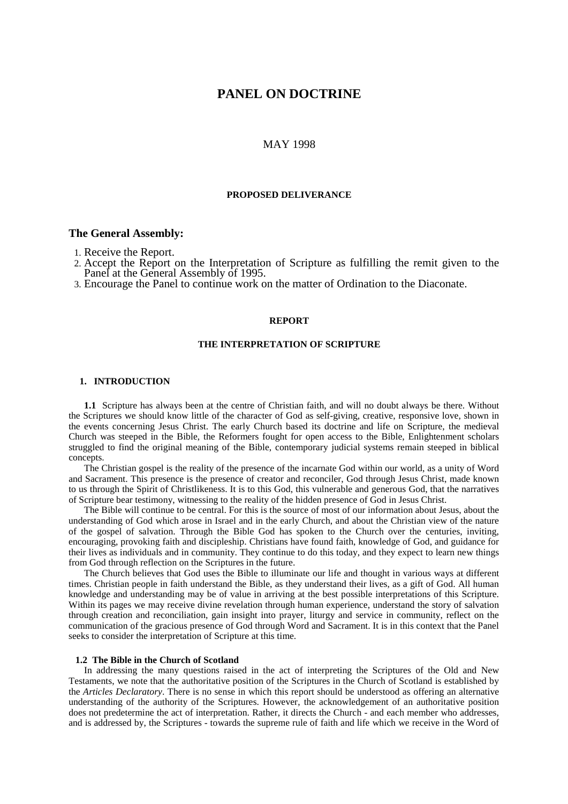# **PANEL ON DOCTRINE**

# MAY 1998

# **PROPOSED DELIVERANCE**

### **The General Assembly:**

1. Receive the Report.

2. Accept the Report on the Interpretation of Scripture as fulfilling the remit given to the Panel at the General Assembly of 1995.

3. Encourage the Panel to continue work on the matter of Ordination to the Diaconate.

### **REPORT**

### **THE INTERPRETATION OF SCRIPTURE**

# **1. INTRODUCTION**

**1.1** Scripture has always been at the centre of Christian faith, and will no doubt always be there. Without the Scriptures we should know little of the character of God as self-giving, creative, responsive love, shown in the events concerning Jesus Christ. The early Church based its doctrine and life on Scripture, the medieval Church was steeped in the Bible, the Reformers fought for open access to the Bible, Enlightenment scholars struggled to find the original meaning of the Bible, contemporary judicial systems remain steeped in biblical concepts.

The Christian gospel is the reality of the presence of the incarnate God within our world, as a unity of Word and Sacrament. This presence is the presence of creator and reconciler, God through Jesus Christ, made known to us through the Spirit of Christlikeness. It is to this God, this vulnerable and generous God, that the narratives of Scripture bear testimony, witnessing to the reality of the hidden presence of God in Jesus Christ.

The Bible will continue to be central. For this is the source of most of our information about Jesus, about the understanding of God which arose in Israel and in the early Church, and about the Christian view of the nature of the gospel of salvation. Through the Bible God has spoken to the Church over the centuries, inviting, encouraging, provoking faith and discipleship. Christians have found faith, knowledge of God, and guidance for their lives as individuals and in community. They continue to do this today, and they expect to learn new things from God through reflection on the Scriptures in the future.

The Church believes that God uses the Bible to illuminate our life and thought in various ways at different times. Christian people in faith understand the Bible, as they understand their lives, as a gift of God. All human knowledge and understanding may be of value in arriving at the best possible interpretations of this Scripture. Within its pages we may receive divine revelation through human experience, understand the story of salvation through creation and reconciliation, gain insight into prayer, liturgy and service in community, reflect on the communication of the gracious presence of God through Word and Sacrament. It is in this context that the Panel seeks to consider the interpretation of Scripture at this time.

### **1.2 The Bible in the Church of Scotland**

In addressing the many questions raised in the act of interpreting the Scriptures of the Old and New Testaments, we note that the authoritative position of the Scriptures in the Church of Scotland is established by the *Articles Declaratory*. There is no sense in which this report should be understood as offering an alternative understanding of the authority of the Scriptures. However, the acknowledgement of an authoritative position does not predetermine the act of interpretation. Rather, it directs the Church - and each member who addresses, and is addressed by, the Scriptures - towards the supreme rule of faith and life which we receive in the Word of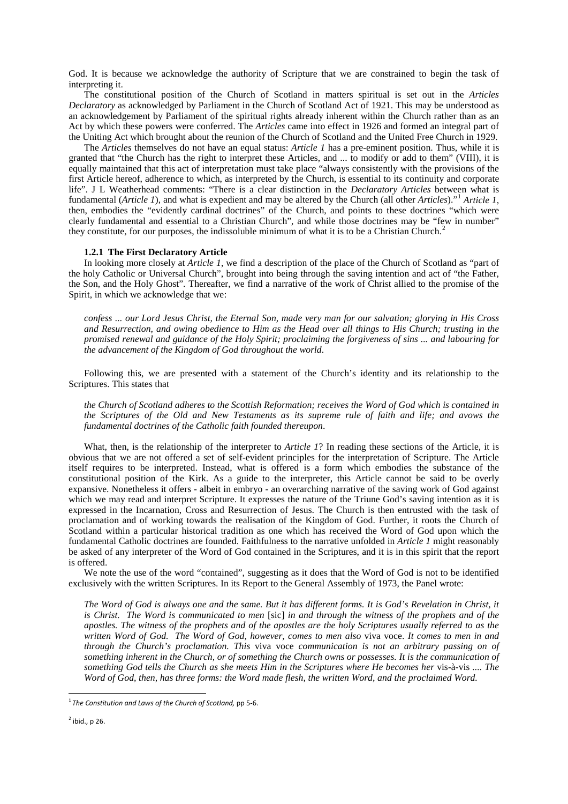God. It is because we acknowledge the authority of Scripture that we are constrained to begin the task of interpreting it.

The constitutional position of the Church of Scotland in matters spiritual is set out in the *Articles Declaratory* as acknowledged by Parliament in the Church of Scotland Act of 1921. This may be understood as an acknowledgement by Parliament of the spiritual rights already inherent within the Church rather than as an Act by which these powers were conferred. The *Articles* came into effect in 1926 and formed an integral part of the Uniting Act which brought about the reunion of the Church of Scotland and the United Free Church in 1929.

The *Articles* themselves do not have an equal status: *Article 1* has a pre-eminent position. Thus, while it is granted that "the Church has the right to interpret these Articles, and ... to modify or add to them" (VIII), it is equally maintained that this act of interpretation must take place "always consistently with the provisions of the first Article hereof, adherence to which, as interpreted by the Church, is essential to its continuity and corporate life". J L Weatherhead comments: "There is a clear distinction in the *Declaratory Articles* between what is fundamental (*Article 1*), and what is expedient and may be altered by the Church (all other *Articles*)."[1](#page-1-0) *Article 1*, then, embodies the "evidently cardinal doctrines" of the Church, and points to these doctrines "which were clearly fundamental and essential to a Christian Church", and while those doctrines may be "few in number" they constitute, for our purposes, the indissoluble minimum of what it is to be a Christian Church.[2](#page-1-1)

### **1.2.1 The First Declaratory Article**

In looking more closely at *Article 1*, we find a description of the place of the Church of Scotland as "part of the holy Catholic or Universal Church", brought into being through the saving intention and act of "the Father, the Son, and the Holy Ghost". Thereafter, we find a narrative of the work of Christ allied to the promise of the Spirit, in which we acknowledge that we:

*confess ... our Lord Jesus Christ, the Eternal Son, made very man for our salvation; glorying in His Cross and Resurrection, and owing obedience to Him as the Head over all things to His Church; trusting in the promised renewal and guidance of the Holy Spirit; proclaiming the forgiveness of sins ... and labouring for the advancement of the Kingdom of God throughout the world*.

Following this, we are presented with a statement of the Church's identity and its relationship to the Scriptures. This states that

*the Church of Scotland adheres to the Scottish Reformation; receives the Word of God which is contained in the Scriptures of the Old and New Testaments as its supreme rule of faith and life; and avows the fundamental doctrines of the Catholic faith founded thereupon*.

What, then, is the relationship of the interpreter to *Article 1*? In reading these sections of the Article, it is obvious that we are not offered a set of self-evident principles for the interpretation of Scripture. The Article itself requires to be interpreted. Instead, what is offered is a form which embodies the substance of the constitutional position of the Kirk. As a guide to the interpreter, this Article cannot be said to be overly expansive. Nonetheless it offers - albeit in embryo - an overarching narrative of the saving work of God against which we may read and interpret Scripture. It expresses the nature of the Triune God's saving intention as it is expressed in the Incarnation, Cross and Resurrection of Jesus. The Church is then entrusted with the task of proclamation and of working towards the realisation of the Kingdom of God. Further, it roots the Church of Scotland within a particular historical tradition as one which has received the Word of God upon which the fundamental Catholic doctrines are founded. Faithfulness to the narrative unfolded in *Article 1* might reasonably be asked of any interpreter of the Word of God contained in the Scriptures, and it is in this spirit that the report is offered.

We note the use of the word "contained", suggesting as it does that the Word of God is not to be identified exclusively with the written Scriptures. In its Report to the General Assembly of 1973, the Panel wrote:

*The Word of God is always one and the same. But it has different forms. It is God's Revelation in Christ, it is Christ. The Word is communicated to men* [sic] *in and through the witness of the prophets and of the apostles. The witness of the prophets and of the apostles are the holy Scriptures usually referred to as the written Word of God. The Word of God, however, comes to men also* viva voce. *It comes to men in and through the Church's proclamation. This* viva voce *communication is not an arbitrary passing on of something inherent in the Church, or of something the Church owns or possesses. It is the communication of something God tells the Church as she meets Him in the Scriptures where He becomes her* vis-à-vis *.... The Word of God, then, has three forms: the Word made flesh, the written Word, and the proclaimed Word.*

-

<span id="page-1-0"></span><sup>1</sup> *The Constitution and Laws of the Church of Scotland,* pp 5-6.

<span id="page-1-1"></span> $<sup>2</sup>$  ibid., p 26.</sup>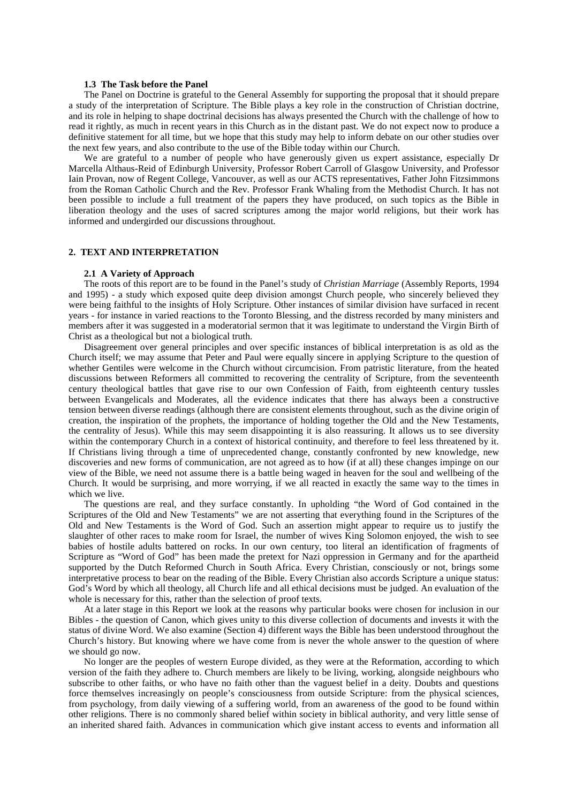### **1.3 The Task before the Panel**

The Panel on Doctrine is grateful to the General Assembly for supporting the proposal that it should prepare a study of the interpretation of Scripture. The Bible plays a key role in the construction of Christian doctrine, and its role in helping to shape doctrinal decisions has always presented the Church with the challenge of how to read it rightly, as much in recent years in this Church as in the distant past. We do not expect now to produce a definitive statement for all time, but we hope that this study may help to inform debate on our other studies over the next few years, and also contribute to the use of the Bible today within our Church.

We are grateful to a number of people who have generously given us expert assistance, especially Dr Marcella Althaus-Reid of Edinburgh University, Professor Robert Carroll of Glasgow University, and Professor Iain Provan, now of Regent College, Vancouver, as well as our ACTS representatives, Father John Fitzsimmons from the Roman Catholic Church and the Rev. Professor Frank Whaling from the Methodist Church. It has not been possible to include a full treatment of the papers they have produced, on such topics as the Bible in liberation theology and the uses of sacred scriptures among the major world religions, but their work has informed and undergirded our discussions throughout.

### **2. TEXT AND INTERPRETATION**

#### **2.1 A Variety of Approach**

The roots of this report are to be found in the Panel's study of *Christian Marriage* (Assembly Reports, 1994 and 1995) - a study which exposed quite deep division amongst Church people, who sincerely believed they were being faithful to the insights of Holy Scripture. Other instances of similar division have surfaced in recent years - for instance in varied reactions to the Toronto Blessing, and the distress recorded by many ministers and members after it was suggested in a moderatorial sermon that it was legitimate to understand the Virgin Birth of Christ as a theological but not a biological truth.

Disagreement over general principles and over specific instances of biblical interpretation is as old as the Church itself; we may assume that Peter and Paul were equally sincere in applying Scripture to the question of whether Gentiles were welcome in the Church without circumcision. From patristic literature, from the heated discussions between Reformers all committed to recovering the centrality of Scripture, from the seventeenth century theological battles that gave rise to our own Confession of Faith, from eighteenth century tussles between Evangelicals and Moderates, all the evidence indicates that there has always been a constructive tension between diverse readings (although there are consistent elements throughout, such as the divine origin of creation, the inspiration of the prophets, the importance of holding together the Old and the New Testaments, the centrality of Jesus). While this may seem disappointing it is also reassuring. It allows us to see diversity within the contemporary Church in a context of historical continuity, and therefore to feel less threatened by it. If Christians living through a time of unprecedented change, constantly confronted by new knowledge, new discoveries and new forms of communication, are not agreed as to how (if at all) these changes impinge on our view of the Bible, we need not assume there is a battle being waged in heaven for the soul and wellbeing of the Church. It would be surprising, and more worrying, if we all reacted in exactly the same way to the times in which we live.

The questions are real, and they surface constantly. In upholding "the Word of God contained in the Scriptures of the Old and New Testaments" we are not asserting that everything found in the Scriptures of the Old and New Testaments is the Word of God. Such an assertion might appear to require us to justify the slaughter of other races to make room for Israel, the number of wives King Solomon enjoyed, the wish to see babies of hostile adults battered on rocks. In our own century, too literal an identification of fragments of Scripture as "Word of God" has been made the pretext for Nazi oppression in Germany and for the apartheid supported by the Dutch Reformed Church in South Africa. Every Christian, consciously or not, brings some interpretative process to bear on the reading of the Bible. Every Christian also accords Scripture a unique status: God's Word by which all theology, all Church life and all ethical decisions must be judged. An evaluation of the whole is necessary for this, rather than the selection of proof texts.

At a later stage in this Report we look at the reasons why particular books were chosen for inclusion in our Bibles - the question of Canon, which gives unity to this diverse collection of documents and invests it with the status of divine Word. We also examine (Section 4) different ways the Bible has been understood throughout the Church's history. But knowing where we have come from is never the whole answer to the question of where we should go now.

No longer are the peoples of western Europe divided, as they were at the Reformation, according to which version of the faith they adhere to. Church members are likely to be living, working, alongside neighbours who subscribe to other faiths, or who have no faith other than the vaguest belief in a deity. Doubts and questions force themselves increasingly on people's consciousness from outside Scripture: from the physical sciences, from psychology, from daily viewing of a suffering world, from an awareness of the good to be found within other religions. There is no commonly shared belief within society in biblical authority, and very little sense of an inherited shared faith. Advances in communication which give instant access to events and information all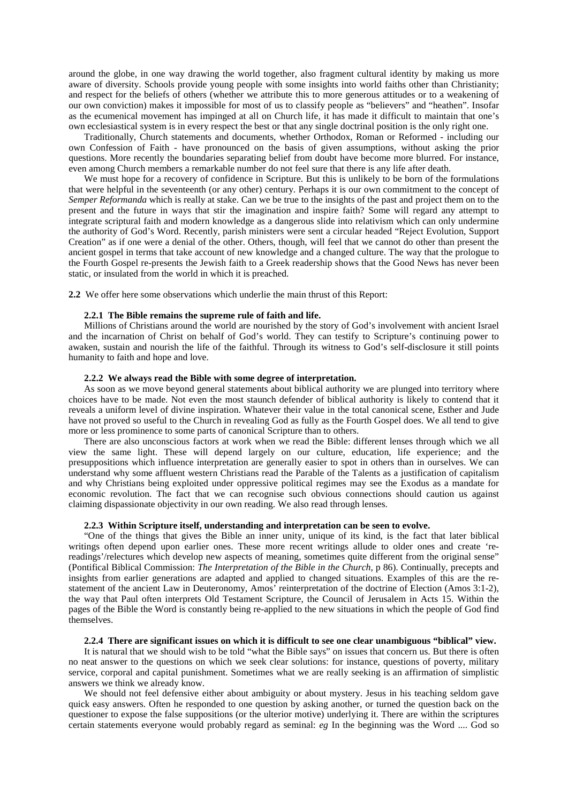around the globe, in one way drawing the world together, also fragment cultural identity by making us more aware of diversity. Schools provide young people with some insights into world faiths other than Christianity; and respect for the beliefs of others (whether we attribute this to more generous attitudes or to a weakening of our own conviction) makes it impossible for most of us to classify people as "believers" and "heathen". Insofar as the ecumenical movement has impinged at all on Church life, it has made it difficult to maintain that one's own ecclesiastical system is in every respect the best or that any single doctrinal position is the only right one.

Traditionally, Church statements and documents, whether Orthodox, Roman or Reformed - including our own Confession of Faith - have pronounced on the basis of given assumptions, without asking the prior questions. More recently the boundaries separating belief from doubt have become more blurred. For instance, even among Church members a remarkable number do not feel sure that there is any life after death.

We must hope for a recovery of confidence in Scripture. But this is unlikely to be born of the formulations that were helpful in the seventeenth (or any other) century. Perhaps it is our own commitment to the concept of *Semper Reformanda* which is really at stake. Can we be true to the insights of the past and project them on to the present and the future in ways that stir the imagination and inspire faith? Some will regard any attempt to integrate scriptural faith and modern knowledge as a dangerous slide into relativism which can only undermine the authority of God's Word. Recently, parish ministers were sent a circular headed "Reject Evolution, Support Creation" as if one were a denial of the other. Others, though, will feel that we cannot do other than present the ancient gospel in terms that take account of new knowledge and a changed culture. The way that the prologue to the Fourth Gospel re-presents the Jewish faith to a Greek readership shows that the Good News has never been static, or insulated from the world in which it is preached.

**2.2** We offer here some observations which underlie the main thrust of this Report:

#### **2.2.1 The Bible remains the supreme rule of faith and life.**

Millions of Christians around the world are nourished by the story of God's involvement with ancient Israel and the incarnation of Christ on behalf of God's world. They can testify to Scripture's continuing power to awaken, sustain and nourish the life of the faithful. Through its witness to God's self-disclosure it still points humanity to faith and hope and love.

#### **2.2.2 We always read the Bible with some degree of interpretation.**

As soon as we move beyond general statements about biblical authority we are plunged into territory where choices have to be made. Not even the most staunch defender of biblical authority is likely to contend that it reveals a uniform level of divine inspiration. Whatever their value in the total canonical scene, Esther and Jude have not proved so useful to the Church in revealing God as fully as the Fourth Gospel does. We all tend to give more or less prominence to some parts of canonical Scripture than to others.

There are also unconscious factors at work when we read the Bible: different lenses through which we all view the same light. These will depend largely on our culture, education, life experience; and the presuppositions which influence interpretation are generally easier to spot in others than in ourselves. We can understand why some affluent western Christians read the Parable of the Talents as a justification of capitalism and why Christians being exploited under oppressive political regimes may see the Exodus as a mandate for economic revolution. The fact that we can recognise such obvious connections should caution us against claiming dispassionate objectivity in our own reading. We also read through lenses.

### **2.2.3 Within Scripture itself, understanding and interpretation can be seen to evolve.**

"One of the things that gives the Bible an inner unity, unique of its kind, is the fact that later biblical writings often depend upon earlier ones. These more recent writings allude to older ones and create 'rereadings'/relectures which develop new aspects of meaning, sometimes quite different from the original sense" (Pontifical Biblical Commission: *The Interpretation of the Bible in the Church*, p 86). Continually, precepts and insights from earlier generations are adapted and applied to changed situations. Examples of this are the restatement of the ancient Law in Deuteronomy, Amos' reinterpretation of the doctrine of Election (Amos 3:1-2), the way that Paul often interprets Old Testament Scripture, the Council of Jerusalem in Acts 15. Within the pages of the Bible the Word is constantly being re-applied to the new situations in which the people of God find themselves.

### **2.2.4 There are significant issues on which it is difficult to see one clear unambiguous "biblical" view.**

It is natural that we should wish to be told "what the Bible says" on issues that concern us. But there is often no neat answer to the questions on which we seek clear solutions: for instance, questions of poverty, military service, corporal and capital punishment. Sometimes what we are really seeking is an affirmation of simplistic answers we think we already know.

We should not feel defensive either about ambiguity or about mystery. Jesus in his teaching seldom gave quick easy answers. Often he responded to one question by asking another, or turned the question back on the questioner to expose the false suppositions (or the ulterior motive) underlying it. There are within the scriptures certain statements everyone would probably regard as seminal: *eg* In the beginning was the Word .... God so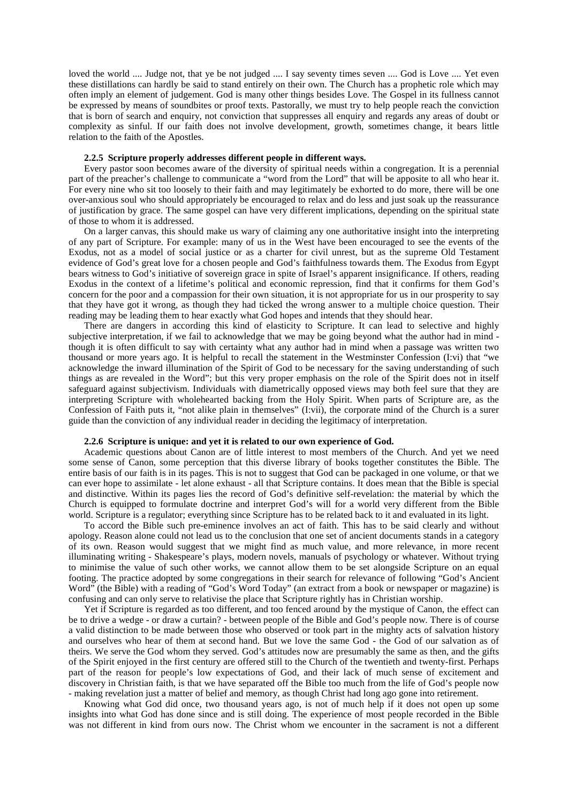loved the world .... Judge not, that ye be not judged .... I say seventy times seven .... God is Love .... Yet even these distillations can hardly be said to stand entirely on their own. The Church has a prophetic role which may often imply an element of judgement. God is many other things besides Love. The Gospel in its fullness cannot be expressed by means of soundbites or proof texts. Pastorally, we must try to help people reach the conviction that is born of search and enquiry, not conviction that suppresses all enquiry and regards any areas of doubt or complexity as sinful. If our faith does not involve development, growth, sometimes change, it bears little relation to the faith of the Apostles.

#### **2.2.5 Scripture properly addresses different people in different ways.**

Every pastor soon becomes aware of the diversity of spiritual needs within a congregation. It is a perennial part of the preacher's challenge to communicate a "word from the Lord" that will be apposite to all who hear it. For every nine who sit too loosely to their faith and may legitimately be exhorted to do more, there will be one over-anxious soul who should appropriately be encouraged to relax and do less and just soak up the reassurance of justification by grace. The same gospel can have very different implications, depending on the spiritual state of those to whom it is addressed.

On a larger canvas, this should make us wary of claiming any one authoritative insight into the interpreting of any part of Scripture. For example: many of us in the West have been encouraged to see the events of the Exodus, not as a model of social justice or as a charter for civil unrest, but as the supreme Old Testament evidence of God's great love for a chosen people and God's faithfulness towards them. The Exodus from Egypt bears witness to God's initiative of sovereign grace in spite of Israel's apparent insignificance. If others, reading Exodus in the context of a lifetime's political and economic repression, find that it confirms for them God's concern for the poor and a compassion for their own situation, it is not appropriate for us in our prosperity to say that they have got it wrong, as though they had ticked the wrong answer to a multiple choice question. Their reading may be leading them to hear exactly what God hopes and intends that they should hear.

There are dangers in according this kind of elasticity to Scripture. It can lead to selective and highly subjective interpretation, if we fail to acknowledge that we may be going beyond what the author had in mind though it is often difficult to say with certainty what any author had in mind when a passage was written two thousand or more years ago. It is helpful to recall the statement in the Westminster Confession (I:vi) that "we acknowledge the inward illumination of the Spirit of God to be necessary for the saving understanding of such things as are revealed in the Word"; but this very proper emphasis on the role of the Spirit does not in itself safeguard against subjectivism. Individuals with diametrically opposed views may both feel sure that they are interpreting Scripture with wholehearted backing from the Holy Spirit. When parts of Scripture are, as the Confession of Faith puts it, "not alike plain in themselves" (I:vii), the corporate mind of the Church is a surer guide than the conviction of any individual reader in deciding the legitimacy of interpretation.

#### **2.2.6 Scripture is unique: and yet it is related to our own experience of God.**

Academic questions about Canon are of little interest to most members of the Church. And yet we need some sense of Canon, some perception that this diverse library of books together constitutes the Bible. The entire basis of our faith is in its pages. This is not to suggest that God can be packaged in one volume, or that we can ever hope to assimilate - let alone exhaust - all that Scripture contains. It does mean that the Bible is special and distinctive. Within its pages lies the record of God's definitive self-revelation: the material by which the Church is equipped to formulate doctrine and interpret God's will for a world very different from the Bible world. Scripture is a regulator; everything since Scripture has to be related back to it and evaluated in its light.

To accord the Bible such pre-eminence involves an act of faith. This has to be said clearly and without apology. Reason alone could not lead us to the conclusion that one set of ancient documents stands in a category of its own. Reason would suggest that we might find as much value, and more relevance, in more recent illuminating writing - Shakespeare's plays, modern novels, manuals of psychology or whatever. Without trying to minimise the value of such other works, we cannot allow them to be set alongside Scripture on an equal footing. The practice adopted by some congregations in their search for relevance of following "God's Ancient Word" (the Bible) with a reading of "God's Word Today" (an extract from a book or newspaper or magazine) is confusing and can only serve to relativise the place that Scripture rightly has in Christian worship.

Yet if Scripture is regarded as too different, and too fenced around by the mystique of Canon, the effect can be to drive a wedge - or draw a curtain? - between people of the Bible and God's people now. There is of course a valid distinction to be made between those who observed or took part in the mighty acts of salvation history and ourselves who hear of them at second hand. But we love the same God - the God of our salvation as of theirs. We serve the God whom they served. God's attitudes now are presumably the same as then, and the gifts of the Spirit enjoyed in the first century are offered still to the Church of the twentieth and twenty-first. Perhaps part of the reason for people's low expectations of God, and their lack of much sense of excitement and discovery in Christian faith, is that we have separated off the Bible too much from the life of God's people now - making revelation just a matter of belief and memory, as though Christ had long ago gone into retirement.

Knowing what God did once, two thousand years ago, is not of much help if it does not open up some insights into what God has done since and is still doing. The experience of most people recorded in the Bible was not different in kind from ours now. The Christ whom we encounter in the sacrament is not a different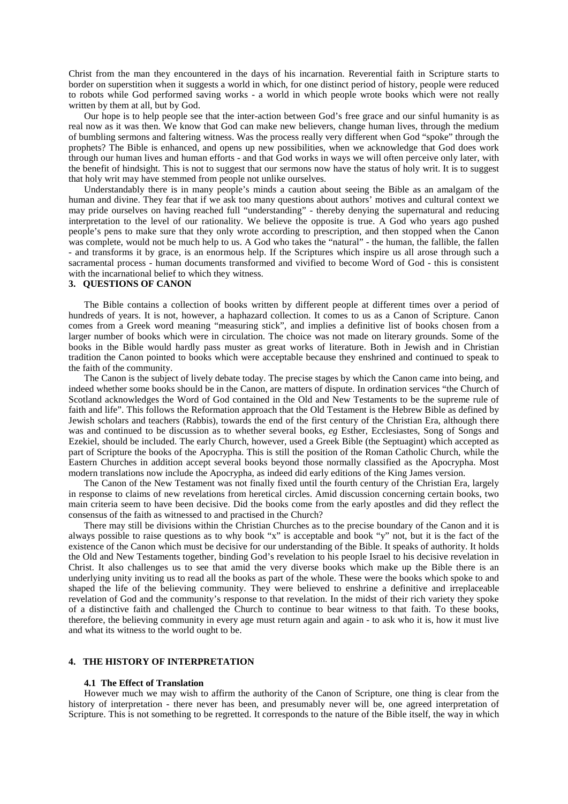Christ from the man they encountered in the days of his incarnation. Reverential faith in Scripture starts to border on superstition when it suggests a world in which, for one distinct period of history, people were reduced to robots while God performed saving works - a world in which people wrote books which were not really written by them at all, but by God.

Our hope is to help people see that the inter-action between God's free grace and our sinful humanity is as real now as it was then. We know that God can make new believers, change human lives, through the medium of bumbling sermons and faltering witness. Was the process really very different when God "spoke" through the prophets? The Bible is enhanced, and opens up new possibilities, when we acknowledge that God does work through our human lives and human efforts - and that God works in ways we will often perceive only later, with the benefit of hindsight. This is not to suggest that our sermons now have the status of holy writ. It is to suggest that holy writ may have stemmed from people not unlike ourselves.

Understandably there is in many people's minds a caution about seeing the Bible as an amalgam of the human and divine. They fear that if we ask too many questions about authors' motives and cultural context we may pride ourselves on having reached full "understanding" - thereby denying the supernatural and reducing interpretation to the level of our rationality. We believe the opposite is true. A God who years ago pushed people's pens to make sure that they only wrote according to prescription, and then stopped when the Canon was complete, would not be much help to us. A God who takes the "natural" - the human, the fallible, the fallen - and transforms it by grace, is an enormous help. If the Scriptures which inspire us all arose through such a sacramental process - human documents transformed and vivified to become Word of God - this is consistent with the incarnational belief to which they witness.

#### **3. QUESTIONS OF CANON**

The Bible contains a collection of books written by different people at different times over a period of hundreds of years. It is not, however, a haphazard collection. It comes to us as a Canon of Scripture. Canon comes from a Greek word meaning "measuring stick", and implies a definitive list of books chosen from a larger number of books which were in circulation. The choice was not made on literary grounds. Some of the books in the Bible would hardly pass muster as great works of literature. Both in Jewish and in Christian tradition the Canon pointed to books which were acceptable because they enshrined and continued to speak to the faith of the community.

The Canon is the subject of lively debate today. The precise stages by which the Canon came into being, and indeed whether some books should be in the Canon, are matters of dispute. In ordination services "the Church of Scotland acknowledges the Word of God contained in the Old and New Testaments to be the supreme rule of faith and life". This follows the Reformation approach that the Old Testament is the Hebrew Bible as defined by Jewish scholars and teachers (Rabbis), towards the end of the first century of the Christian Era, although there was and continued to be discussion as to whether several books, *eg* Esther, Ecclesiastes, Song of Songs and Ezekiel, should be included. The early Church, however, used a Greek Bible (the Septuagint) which accepted as part of Scripture the books of the Apocrypha. This is still the position of the Roman Catholic Church, while the Eastern Churches in addition accept several books beyond those normally classified as the Apocrypha. Most modern translations now include the Apocrypha, as indeed did early editions of the King James version.

The Canon of the New Testament was not finally fixed until the fourth century of the Christian Era, largely in response to claims of new revelations from heretical circles. Amid discussion concerning certain books, two main criteria seem to have been decisive. Did the books come from the early apostles and did they reflect the consensus of the faith as witnessed to and practised in the Church?

There may still be divisions within the Christian Churches as to the precise boundary of the Canon and it is always possible to raise questions as to why book "x" is acceptable and book "y" not, but it is the fact of the existence of the Canon which must be decisive for our understanding of the Bible. It speaks of authority. It holds the Old and New Testaments together, binding God's revelation to his people Israel to his decisive revelation in Christ. It also challenges us to see that amid the very diverse books which make up the Bible there is an underlying unity inviting us to read all the books as part of the whole. These were the books which spoke to and shaped the life of the believing community. They were believed to enshrine a definitive and irreplaceable revelation of God and the community's response to that revelation. In the midst of their rich variety they spoke of a distinctive faith and challenged the Church to continue to bear witness to that faith. To these books, therefore, the believing community in every age must return again and again - to ask who it is, how it must live and what its witness to the world ought to be.

# **4. THE HISTORY OF INTERPRETATION**

#### **4.1 The Effect of Translation**

However much we may wish to affirm the authority of the Canon of Scripture, one thing is clear from the history of interpretation - there never has been, and presumably never will be, one agreed interpretation of Scripture. This is not something to be regretted. It corresponds to the nature of the Bible itself, the way in which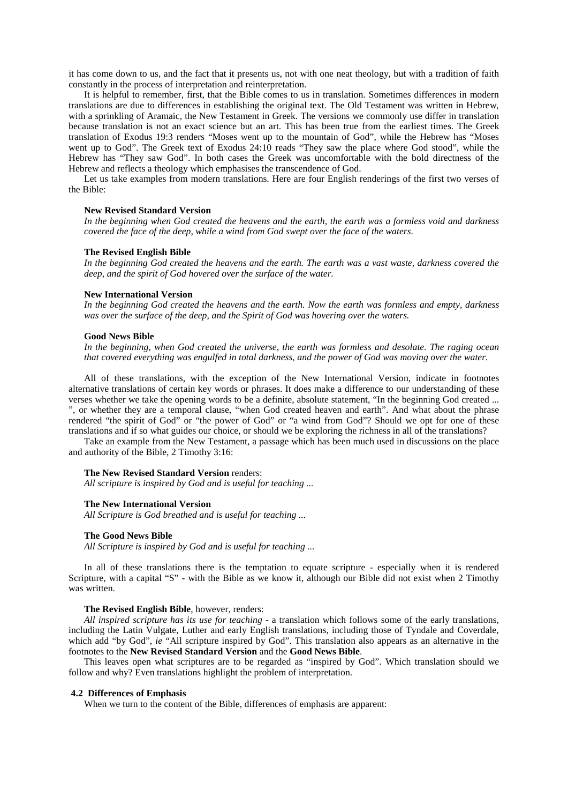it has come down to us, and the fact that it presents us, not with one neat theology, but with a tradition of faith constantly in the process of interpretation and reinterpretation.

It is helpful to remember, first, that the Bible comes to us in translation. Sometimes differences in modern translations are due to differences in establishing the original text. The Old Testament was written in Hebrew, with a sprinkling of Aramaic, the New Testament in Greek. The versions we commonly use differ in translation because translation is not an exact science but an art. This has been true from the earliest times. The Greek translation of Exodus 19:3 renders "Moses went up to the mountain of God", while the Hebrew has "Moses went up to God". The Greek text of Exodus 24:10 reads "They saw the place where God stood", while the Hebrew has "They saw God". In both cases the Greek was uncomfortable with the bold directness of the Hebrew and reflects a theology which emphasises the transcendence of God.

Let us take examples from modern translations. Here are four English renderings of the first two verses of the Bible:

### **New Revised Standard Version**

*In the beginning when God created the heavens and the earth, the earth was a formless void and darkness covered the face of the deep, while a wind from God swept over the face of the waters*.

#### **The Revised English Bible**

*In the beginning God created the heavens and the earth. The earth was a vast waste, darkness covered the deep, and the spirit of God hovered over the surface of the water.*

#### **New International Version**

*In the beginning God created the heavens and the earth. Now the earth was formless and empty, darkness was over the surface of the deep, and the Spirit of God was hovering over the waters.*

#### **Good News Bible**

*In the beginning, when God created the universe, the earth was formless and desolate. The raging ocean that covered everything was engulfed in total darkness, and the power of God was moving over the water.*

All of these translations, with the exception of the New International Version, indicate in footnotes alternative translations of certain key words or phrases. It does make a difference to our understanding of these verses whether we take the opening words to be a definite, absolute statement, "In the beginning God created ... ", or whether they are a temporal clause, "when God created heaven and earth". And what about the phrase rendered "the spirit of God" or "the power of God" or "a wind from God"? Should we opt for one of these translations and if so what guides our choice, or should we be exploring the richness in all of the translations?

Take an example from the New Testament, a passage which has been much used in discussions on the place and authority of the Bible, 2 Timothy 3:16:

#### **The New Revised Standard Version** renders:

*All scripture is inspired by God and is useful for teaching ...*

#### **The New International Version**

*All Scripture is God breathed and is useful for teaching ...*

### **The Good News Bible**

*All Scripture is inspired by God and is useful for teaching ...*

In all of these translations there is the temptation to equate scripture - especially when it is rendered Scripture, with a capital "S" - with the Bible as we know it, although our Bible did not exist when 2 Timothy was written.

# **The Revised English Bible**, however, renders:

*All inspired scripture has its use for teaching* - a translation which follows some of the early translations, including the Latin Vulgate, Luther and early English translations, including those of Tyndale and Coverdale, which add "by God", *ie* "All scripture inspired by God". This translation also appears as an alternative in the footnotes to the **New Revised Standard Version** and the **Good News Bible**.

This leaves open what scriptures are to be regarded as "inspired by God". Which translation should we follow and why? Even translations highlight the problem of interpretation.

### **4.2 Differences of Emphasis**

When we turn to the content of the Bible, differences of emphasis are apparent: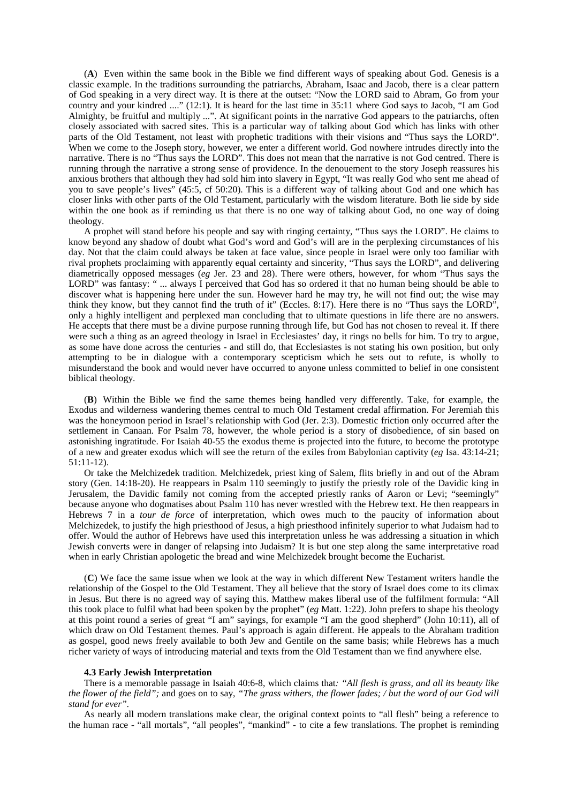(**A**) Even within the same book in the Bible we find different ways of speaking about God. Genesis is a classic example. In the traditions surrounding the patriarchs, Abraham, Isaac and Jacob, there is a clear pattern of God speaking in a very direct way. It is there at the outset: "Now the LORD said to Abram, Go from your country and your kindred ...." (12:1). It is heard for the last time in 35:11 where God says to Jacob, "I am God Almighty, be fruitful and multiply ...". At significant points in the narrative God appears to the patriarchs, often closely associated with sacred sites. This is a particular way of talking about God which has links with other parts of the Old Testament, not least with prophetic traditions with their visions and "Thus says the LORD". When we come to the Joseph story, however, we enter a different world. God nowhere intrudes directly into the narrative. There is no "Thus says the LORD". This does not mean that the narrative is not God centred. There is running through the narrative a strong sense of providence. In the denouement to the story Joseph reassures his anxious brothers that although they had sold him into slavery in Egypt, "It was really God who sent me ahead of you to save people's lives" (45:5, cf 50:20). This is a different way of talking about God and one which has closer links with other parts of the Old Testament, particularly with the wisdom literature. Both lie side by side within the one book as if reminding us that there is no one way of talking about God, no one way of doing theology.

A prophet will stand before his people and say with ringing certainty, "Thus says the LORD". He claims to know beyond any shadow of doubt what God's word and God's will are in the perplexing circumstances of his day. Not that the claim could always be taken at face value, since people in Israel were only too familiar with rival prophets proclaiming with apparently equal certainty and sincerity, "Thus says the LORD", and delivering diametrically opposed messages (*eg* Jer. 23 and 28). There were others, however, for whom "Thus says the LORD" was fantasy: " ... always I perceived that God has so ordered it that no human being should be able to discover what is happening here under the sun. However hard he may try, he will not find out; the wise may think they know, but they cannot find the truth of it" (Eccles. 8:17). Here there is no "Thus says the LORD", only a highly intelligent and perplexed man concluding that to ultimate questions in life there are no answers. He accepts that there must be a divine purpose running through life, but God has not chosen to reveal it. If there were such a thing as an agreed theology in Israel in Ecclesiastes' day, it rings no bells for him. To try to argue, as some have done across the centuries - and still do, that Ecclesiastes is not stating his own position, but only attempting to be in dialogue with a contemporary scepticism which he sets out to refute, is wholly to misunderstand the book and would never have occurred to anyone unless committed to belief in one consistent biblical theology.

(**B**) Within the Bible we find the same themes being handled very differently. Take, for example, the Exodus and wilderness wandering themes central to much Old Testament credal affirmation. For Jeremiah this was the honeymoon period in Israel's relationship with God (Jer. 2:3). Domestic friction only occurred after the settlement in Canaan. For Psalm 78, however, the whole period is a story of disobedience, of sin based on astonishing ingratitude. For Isaiah 40-55 the exodus theme is projected into the future, to become the prototype of a new and greater exodus which will see the return of the exiles from Babylonian captivity (*eg* Isa. 43:14-21; 51:11-12).

Or take the Melchizedek tradition. Melchizedek, priest king of Salem, flits briefly in and out of the Abram story (Gen. 14:18-20). He reappears in Psalm 110 seemingly to justify the priestly role of the Davidic king in Jerusalem, the Davidic family not coming from the accepted priestly ranks of Aaron or Levi; "seemingly" because anyone who dogmatises about Psalm 110 has never wrestled with the Hebrew text. He then reappears in Hebrews 7 in a *tour de force* of interpretation, which owes much to the paucity of information about Melchizedek, to justify the high priesthood of Jesus, a high priesthood infinitely superior to what Judaism had to offer. Would the author of Hebrews have used this interpretation unless he was addressing a situation in which Jewish converts were in danger of relapsing into Judaism? It is but one step along the same interpretative road when in early Christian apologetic the bread and wine Melchizedek brought become the Eucharist.

(**C**) We face the same issue when we look at the way in which different New Testament writers handle the relationship of the Gospel to the Old Testament. They all believe that the story of Israel does come to its climax in Jesus. But there is no agreed way of saying this. Matthew makes liberal use of the fulfilment formula: "All this took place to fulfil what had been spoken by the prophet" (*eg* Matt. 1:22). John prefers to shape his theology at this point round a series of great "I am" sayings, for example "I am the good shepherd" (John 10:11), all of which draw on Old Testament themes. Paul's approach is again different. He appeals to the Abraham tradition as gospel, good news freely available to both Jew and Gentile on the same basis; while Hebrews has a much richer variety of ways of introducing material and texts from the Old Testament than we find anywhere else.

### **4.3 Early Jewish Interpretation**

There is a memorable passage in Isaiah 40:6-8, which claims that*: "All flesh is grass, and all its beauty like the flower of the field";* and goes on to say, *"The grass withers, the flower fades; / but the word of our God will stand for ever".*

As nearly all modern translations make clear, the original context points to "all flesh" being a reference to the human race - "all mortals", "all peoples", "mankind" - to cite a few translations. The prophet is reminding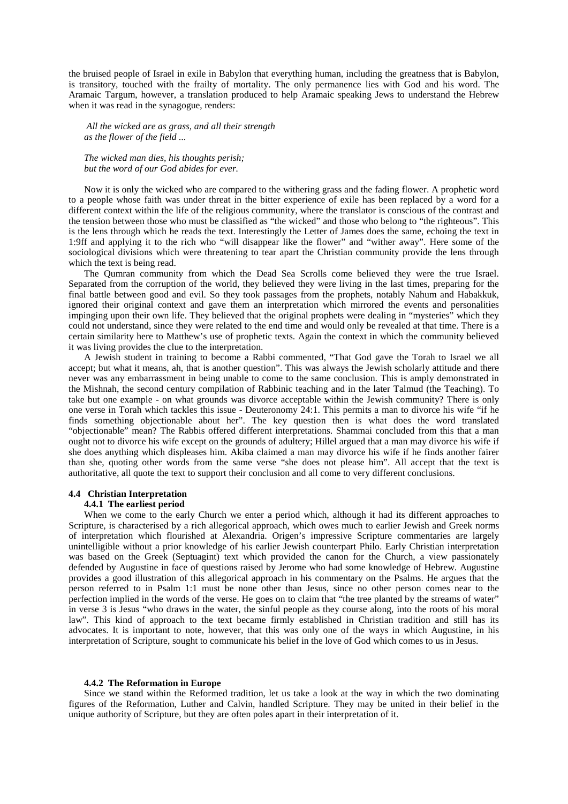the bruised people of Israel in exile in Babylon that everything human, including the greatness that is Babylon, is transitory, touched with the frailty of mortality. The only permanence lies with God and his word. The Aramaic Targum, however, a translation produced to help Aramaic speaking Jews to understand the Hebrew when it was read in the synagogue, renders:

*All the wicked are as grass, and all their strength as the flower of the field ...*

*The wicked man dies, his thoughts perish; but the word of our God abides for ever.*

Now it is only the wicked who are compared to the withering grass and the fading flower. A prophetic word to a people whose faith was under threat in the bitter experience of exile has been replaced by a word for a different context within the life of the religious community, where the translator is conscious of the contrast and the tension between those who must be classified as "the wicked" and those who belong to "the righteous". This is the lens through which he reads the text. Interestingly the Letter of James does the same, echoing the text in 1:9ff and applying it to the rich who "will disappear like the flower" and "wither away". Here some of the sociological divisions which were threatening to tear apart the Christian community provide the lens through which the text is being read.

The Qumran community from which the Dead Sea Scrolls come believed they were the true Israel. Separated from the corruption of the world, they believed they were living in the last times, preparing for the final battle between good and evil. So they took passages from the prophets, notably Nahum and Habakkuk, ignored their original context and gave them an interpretation which mirrored the events and personalities impinging upon their own life. They believed that the original prophets were dealing in "mysteries" which they could not understand, since they were related to the end time and would only be revealed at that time. There is a certain similarity here to Matthew's use of prophetic texts. Again the context in which the community believed it was living provides the clue to the interpretation.

A Jewish student in training to become a Rabbi commented, "That God gave the Torah to Israel we all accept; but what it means, ah, that is another question". This was always the Jewish scholarly attitude and there never was any embarrassment in being unable to come to the same conclusion. This is amply demonstrated in the Mishnah, the second century compilation of Rabbinic teaching and in the later Talmud (the Teaching). To take but one example - on what grounds was divorce acceptable within the Jewish community? There is only one verse in Torah which tackles this issue - Deuteronomy 24:1. This permits a man to divorce his wife "if he finds something objectionable about her". The key question then is what does the word translated "objectionable" mean? The Rabbis offered different interpretations. Shammai concluded from this that a man ought not to divorce his wife except on the grounds of adultery; Hillel argued that a man may divorce his wife if she does anything which displeases him. Akiba claimed a man may divorce his wife if he finds another fairer than she, quoting other words from the same verse "she does not please him". All accept that the text is authoritative, all quote the text to support their conclusion and all come to very different conclusions.

# **4.4 Christian Interpretation**

# **4.4.1 The earliest period**

When we come to the early Church we enter a period which, although it had its different approaches to Scripture, is characterised by a rich allegorical approach, which owes much to earlier Jewish and Greek norms of interpretation which flourished at Alexandria. Origen's impressive Scripture commentaries are largely unintelligible without a prior knowledge of his earlier Jewish counterpart Philo. Early Christian interpretation was based on the Greek (Septuagint) text which provided the canon for the Church, a view passionately defended by Augustine in face of questions raised by Jerome who had some knowledge of Hebrew. Augustine provides a good illustration of this allegorical approach in his commentary on the Psalms. He argues that the person referred to in Psalm 1:1 must be none other than Jesus, since no other person comes near to the perfection implied in the words of the verse. He goes on to claim that "the tree planted by the streams of water" in verse 3 is Jesus "who draws in the water, the sinful people as they course along, into the roots of his moral law". This kind of approach to the text became firmly established in Christian tradition and still has its advocates. It is important to note, however, that this was only one of the ways in which Augustine, in his interpretation of Scripture, sought to communicate his belief in the love of God which comes to us in Jesus.

#### **4.4.2 The Reformation in Europe**

Since we stand within the Reformed tradition, let us take a look at the way in which the two dominating figures of the Reformation, Luther and Calvin, handled Scripture. They may be united in their belief in the unique authority of Scripture, but they are often poles apart in their interpretation of it.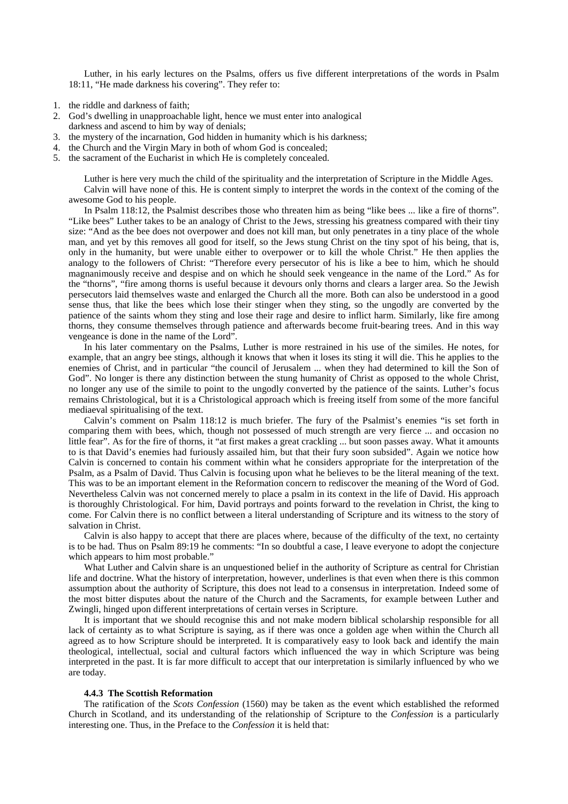Luther, in his early lectures on the Psalms, offers us five different interpretations of the words in Psalm 18:11, "He made darkness his covering". They refer to:

- 1. the riddle and darkness of faith;
- 2. God's dwelling in unapproachable light, hence we must enter into analogical darkness and ascend to him by way of denials;
- 3. the mystery of the incarnation, God hidden in humanity which is his darkness;
- 4. the Church and the Virgin Mary in both of whom God is concealed;
- 5. the sacrament of the Eucharist in which He is completely concealed.

Luther is here very much the child of the spirituality and the interpretation of Scripture in the Middle Ages. Calvin will have none of this. He is content simply to interpret the words in the context of the coming of the awesome God to his people.

In Psalm 118:12, the Psalmist describes those who threaten him as being "like bees ... like a fire of thorns". "Like bees" Luther takes to be an analogy of Christ to the Jews, stressing his greatness compared with their tiny size: "And as the bee does not overpower and does not kill man, but only penetrates in a tiny place of the whole man, and yet by this removes all good for itself, so the Jews stung Christ on the tiny spot of his being, that is, only in the humanity, but were unable either to overpower or to kill the whole Christ." He then applies the analogy to the followers of Christ: "Therefore every persecutor of his is like a bee to him, which he should magnanimously receive and despise and on which he should seek vengeance in the name of the Lord." As for the "thorns", "fire among thorns is useful because it devours only thorns and clears a larger area. So the Jewish persecutors laid themselves waste and enlarged the Church all the more. Both can also be understood in a good sense thus, that like the bees which lose their stinger when they sting, so the ungodly are converted by the patience of the saints whom they sting and lose their rage and desire to inflict harm. Similarly, like fire among thorns, they consume themselves through patience and afterwards become fruit-bearing trees. And in this way vengeance is done in the name of the Lord".

In his later commentary on the Psalms, Luther is more restrained in his use of the similes. He notes, for example, that an angry bee stings, although it knows that when it loses its sting it will die. This he applies to the enemies of Christ, and in particular "the council of Jerusalem ... when they had determined to kill the Son of God". No longer is there any distinction between the stung humanity of Christ as opposed to the whole Christ, no longer any use of the simile to point to the ungodly converted by the patience of the saints. Luther's focus remains Christological, but it is a Christological approach which is freeing itself from some of the more fanciful mediaeval spiritualising of the text.

Calvin's comment on Psalm 118:12 is much briefer. The fury of the Psalmist's enemies "is set forth in comparing them with bees, which, though not possessed of much strength are very fierce ... and occasion no little fear". As for the fire of thorns, it "at first makes a great crackling ... but soon passes away. What it amounts to is that David's enemies had furiously assailed him, but that their fury soon subsided". Again we notice how Calvin is concerned to contain his comment within what he considers appropriate for the interpretation of the Psalm, as a Psalm of David. Thus Calvin is focusing upon what he believes to be the literal meaning of the text. This was to be an important element in the Reformation concern to rediscover the meaning of the Word of God. Nevertheless Calvin was not concerned merely to place a psalm in its context in the life of David. His approach is thoroughly Christological. For him, David portrays and points forward to the revelation in Christ, the king to come. For Calvin there is no conflict between a literal understanding of Scripture and its witness to the story of salvation in Christ.

Calvin is also happy to accept that there are places where, because of the difficulty of the text, no certainty is to be had. Thus on Psalm 89:19 he comments: "In so doubtful a case, I leave everyone to adopt the conjecture which appears to him most probable."

What Luther and Calvin share is an unquestioned belief in the authority of Scripture as central for Christian life and doctrine. What the history of interpretation, however, underlines is that even when there is this common assumption about the authority of Scripture, this does not lead to a consensus in interpretation. Indeed some of the most bitter disputes about the nature of the Church and the Sacraments, for example between Luther and Zwingli, hinged upon different interpretations of certain verses in Scripture.

It is important that we should recognise this and not make modern biblical scholarship responsible for all lack of certainty as to what Scripture is saying, as if there was once a golden age when within the Church all agreed as to how Scripture should be interpreted. It is comparatively easy to look back and identify the main theological, intellectual, social and cultural factors which influenced the way in which Scripture was being interpreted in the past. It is far more difficult to accept that our interpretation is similarly influenced by who we are today.

### **4.4.3 The Scottish Reformation**

The ratification of the *Scots Confession* (1560) may be taken as the event which established the reformed Church in Scotland, and its understanding of the relationship of Scripture to the *Confession* is a particularly interesting one. Thus, in the Preface to the *Confession* it is held that: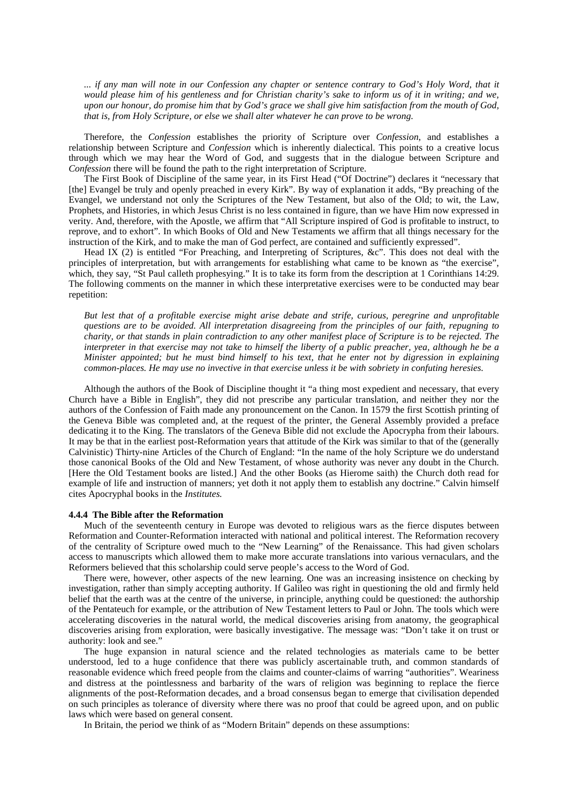*... if any man will note in our Confession any chapter or sentence contrary to God's Holy Word, that it would please him of his gentleness and for Christian charity's sake to inform us of it in writing; and we, upon our honour, do promise him that by God's grace we shall give him satisfaction from the mouth of God, that is, from Holy Scripture, or else we shall alter whatever he can prove to be wrong.*

Therefore, the *Confession* establishes the priority of Scripture over *Confession*, and establishes a relationship between Scripture and *Confession* which is inherently dialectical. This points to a creative locus through which we may hear the Word of God, and suggests that in the dialogue between Scripture and *Confession* there will be found the path to the right interpretation of Scripture.

The First Book of Discipline of the same year, in its First Head ("Of Doctrine") declares it "necessary that [the] Evangel be truly and openly preached in every Kirk". By way of explanation it adds, "By preaching of the Evangel, we understand not only the Scriptures of the New Testament, but also of the Old; to wit, the Law, Prophets, and Histories, in which Jesus Christ is no less contained in figure, than we have Him now expressed in verity. And, therefore, with the Apostle, we affirm that "All Scripture inspired of God is profitable to instruct, to reprove, and to exhort". In which Books of Old and New Testaments we affirm that all things necessary for the instruction of the Kirk, and to make the man of God perfect, are contained and sufficiently expressed".

Head IX (2) is entitled "For Preaching, and Interpreting of Scriptures, &c". This does not deal with the principles of interpretation, but with arrangements for establishing what came to be known as "the exercise", which, they say, "St Paul calleth prophesying." It is to take its form from the description at 1 Corinthians 14:29. The following comments on the manner in which these interpretative exercises were to be conducted may bear repetition:

*But lest that of a profitable exercise might arise debate and strife, curious, peregrine and unprofitable questions are to be avoided. All interpretation disagreeing from the principles of our faith, repugning to charity, or that stands in plain contradiction to any other manifest place of Scripture is to be rejected. The interpreter in that exercise may not take to himself the liberty of a public preacher, yea, although he be a Minister appointed; but he must bind himself to his text, that he enter not by digression in explaining common-places. He may use no invective in that exercise unless it be with sobriety in confuting heresies.*

Although the authors of the Book of Discipline thought it "a thing most expedient and necessary, that every Church have a Bible in English", they did not prescribe any particular translation, and neither they nor the authors of the Confession of Faith made any pronouncement on the Canon. In 1579 the first Scottish printing of the Geneva Bible was completed and, at the request of the printer, the General Assembly provided a preface dedicating it to the King. The translators of the Geneva Bible did not exclude the Apocrypha from their labours. It may be that in the earliest post-Reformation years that attitude of the Kirk was similar to that of the (generally Calvinistic) Thirty-nine Articles of the Church of England: "In the name of the holy Scripture we do understand those canonical Books of the Old and New Testament, of whose authority was never any doubt in the Church. [Here the Old Testament books are listed.] And the other Books (as Hierome saith) the Church doth read for example of life and instruction of manners; yet doth it not apply them to establish any doctrine." Calvin himself cites Apocryphal books in the *Institutes.*

#### **4.4.4 The Bible after the Reformation**

Much of the seventeenth century in Europe was devoted to religious wars as the fierce disputes between Reformation and Counter-Reformation interacted with national and political interest. The Reformation recovery of the centrality of Scripture owed much to the "New Learning" of the Renaissance. This had given scholars access to manuscripts which allowed them to make more accurate translations into various vernaculars, and the Reformers believed that this scholarship could serve people's access to the Word of God.

There were, however, other aspects of the new learning. One was an increasing insistence on checking by investigation, rather than simply accepting authority. If Galileo was right in questioning the old and firmly held belief that the earth was at the centre of the universe, in principle, anything could be questioned: the authorship of the Pentateuch for example, or the attribution of New Testament letters to Paul or John. The tools which were accelerating discoveries in the natural world, the medical discoveries arising from anatomy, the geographical discoveries arising from exploration, were basically investigative. The message was: "Don't take it on trust or authority: look and see."

The huge expansion in natural science and the related technologies as materials came to be better understood, led to a huge confidence that there was publicly ascertainable truth, and common standards of reasonable evidence which freed people from the claims and counter-claims of warring "authorities". Weariness and distress at the pointlessness and barbarity of the wars of religion was beginning to replace the fierce alignments of the post-Reformation decades, and a broad consensus began to emerge that civilisation depended on such principles as tolerance of diversity where there was no proof that could be agreed upon, and on public laws which were based on general consent.

In Britain, the period we think of as "Modern Britain" depends on these assumptions: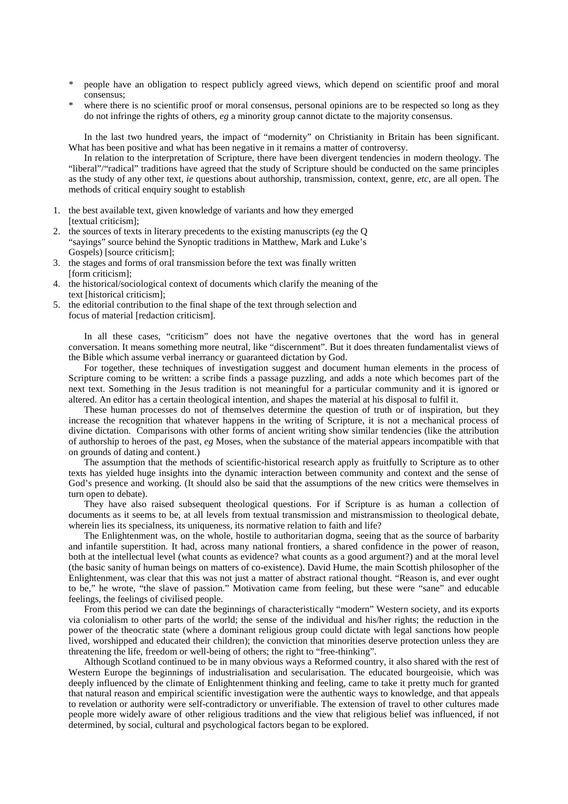- \* people have an obligation to respect publicly agreed views, which depend on scientific proof and moral consensus;
- where there is no scientific proof or moral consensus, personal opinions are to be respected so long as they do not infringe the rights of others, *eg* a minority group cannot dictate to the majority consensus.

In the last two hundred years, the impact of "modernity" on Christianity in Britain has been significant. What has been positive and what has been negative in it remains a matter of controversy.

In relation to the interpretation of Scripture, there have been divergent tendencies in modern theology. The "liberal"/"radical" traditions have agreed that the study of Scripture should be conducted on the same principles as the study of any other text, *ie* questions about authorship, transmission, context, genre, *etc*, are all open. The methods of critical enquiry sought to establish

- 1. the best available text, given knowledge of variants and how they emerged [textual criticism];
- 2. the sources of texts in literary precedents to the existing manuscripts (*eg* the Q "sayings" source behind the Synoptic traditions in Matthew, Mark and Luke's Gospels) [source criticism];
- 3. the stages and forms of oral transmission before the text was finally written [form criticism];
- 4. the historical/sociological context of documents which clarify the meaning of the text [historical criticism];
- 5. the editorial contribution to the final shape of the text through selection and focus of material [redaction criticism].

In all these cases, "criticism" does not have the negative overtones that the word has in general conversation. It means something more neutral, like "discernment". But it does threaten fundamentalist views of the Bible which assume verbal inerrancy or guaranteed dictation by God.

For together, these techniques of investigation suggest and document human elements in the process of Scripture coming to be written: a scribe finds a passage puzzling, and adds a note which becomes part of the next text. Something in the Jesus tradition is not meaningful for a particular community and it is ignored or altered. An editor has a certain theological intention, and shapes the material at his disposal to fulfil it.

These human processes do not of themselves determine the question of truth or of inspiration, but they increase the recognition that whatever happens in the writing of Scripture, it is not a mechanical process of divine dictation. Comparisons with other forms of ancient writing show similar tendencies (like the attribution of authorship to heroes of the past, *eg* Moses, when the substance of the material appears incompatible with that on grounds of dating and content.)

The assumption that the methods of scientific-historical research apply as fruitfully to Scripture as to other texts has yielded huge insights into the dynamic interaction between community and context and the sense of God's presence and working. (It should also be said that the assumptions of the new critics were themselves in turn open to debate).

They have also raised subsequent theological questions. For if Scripture is as human a collection of documents as it seems to be, at all levels from textual transmission and mistransmission to theological debate, wherein lies its specialness, its uniqueness, its normative relation to faith and life?

The Enlightenment was, on the whole, hostile to authoritarian dogma, seeing that as the source of barbarity and infantile superstition. It had, across many national frontiers, a shared confidence in the power of reason, both at the intellectual level (what counts as evidence? what counts as a good argument?) and at the moral level (the basic sanity of human beings on matters of co-existence). David Hume, the main Scottish philosopher of the Enlightenment, was clear that this was not just a matter of abstract rational thought. "Reason is, and ever ought to be," he wrote, "the slave of passion." Motivation came from feeling, but these were "sane" and educable feelings, the feelings of civilised people.

From this period we can date the beginnings of characteristically "modern" Western society, and its exports via colonialism to other parts of the world; the sense of the individual and his/her rights; the reduction in the power of the theocratic state (where a dominant religious group could dictate with legal sanctions how people lived, worshipped and educated their children); the conviction that minorities deserve protection unless they are threatening the life, freedom or well-being of others; the right to "free-thinking".

Although Scotland continued to be in many obvious ways a Reformed country, it also shared with the rest of Western Europe the beginnings of industrialisation and secularisation. The educated bourgeoisie, which was deeply influenced by the climate of Enlightenment thinking and feeling, came to take it pretty much for granted that natural reason and empirical scientific investigation were the authentic ways to knowledge, and that appeals to revelation or authority were self-contradictory or unverifiable. The extension of travel to other cultures made people more widely aware of other religious traditions and the view that religious belief was influenced, if not determined, by social, cultural and psychological factors began to be explored.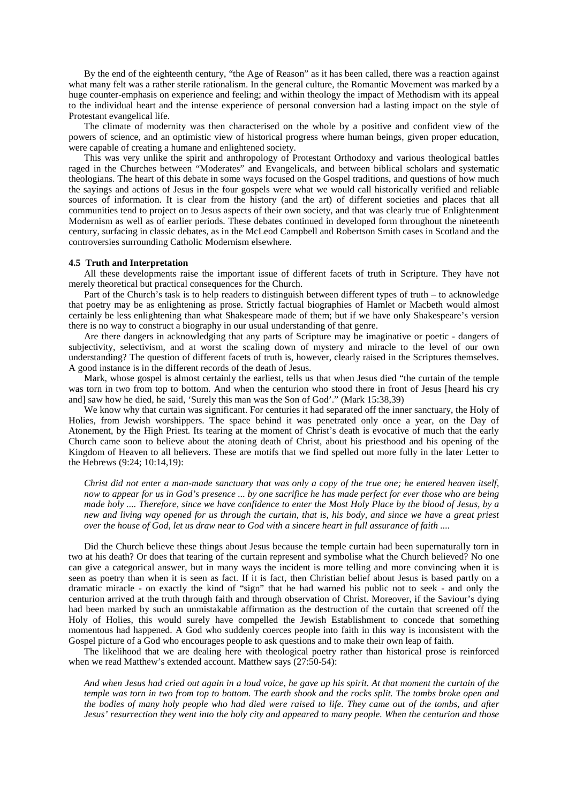By the end of the eighteenth century, "the Age of Reason" as it has been called, there was a reaction against what many felt was a rather sterile rationalism. In the general culture, the Romantic Movement was marked by a huge counter-emphasis on experience and feeling; and within theology the impact of Methodism with its appeal to the individual heart and the intense experience of personal conversion had a lasting impact on the style of Protestant evangelical life.

The climate of modernity was then characterised on the whole by a positive and confident view of the powers of science, and an optimistic view of historical progress where human beings, given proper education, were capable of creating a humane and enlightened society.

This was very unlike the spirit and anthropology of Protestant Orthodoxy and various theological battles raged in the Churches between "Moderates" and Evangelicals, and between biblical scholars and systematic theologians. The heart of this debate in some ways focused on the Gospel traditions, and questions of how much the sayings and actions of Jesus in the four gospels were what we would call historically verified and reliable sources of information. It is clear from the history (and the art) of different societies and places that all communities tend to project on to Jesus aspects of their own society, and that was clearly true of Enlightenment Modernism as well as of earlier periods. These debates continued in developed form throughout the nineteenth century, surfacing in classic debates, as in the McLeod Campbell and Robertson Smith cases in Scotland and the controversies surrounding Catholic Modernism elsewhere.

#### **4.5 Truth and Interpretation**

All these developments raise the important issue of different facets of truth in Scripture. They have not merely theoretical but practical consequences for the Church.

Part of the Church's task is to help readers to distinguish between different types of truth – to acknowledge that poetry may be as enlightening as prose. Strictly factual biographies of Hamlet or Macbeth would almost certainly be less enlightening than what Shakespeare made of them; but if we have only Shakespeare's version there is no way to construct a biography in our usual understanding of that genre.

Are there dangers in acknowledging that any parts of Scripture may be imaginative or poetic - dangers of subjectivity, selectivism, and at worst the scaling down of mystery and miracle to the level of our own understanding? The question of different facets of truth is, however, clearly raised in the Scriptures themselves. A good instance is in the different records of the death of Jesus.

Mark, whose gospel is almost certainly the earliest, tells us that when Jesus died "the curtain of the temple was torn in two from top to bottom. And when the centurion who stood there in front of Jesus [heard his cry and] saw how he died, he said, 'Surely this man was the Son of God'." (Mark 15:38,39)

We know why that curtain was significant. For centuries it had separated off the inner sanctuary, the Holy of Holies, from Jewish worshippers. The space behind it was penetrated only once a year, on the Day of Atonement, by the High Priest. Its tearing at the moment of Christ's death is evocative of much that the early Church came soon to believe about the atoning death of Christ, about his priesthood and his opening of the Kingdom of Heaven to all believers. These are motifs that we find spelled out more fully in the later Letter to the Hebrews (9:24; 10:14,19):

*Christ did not enter a man-made sanctuary that was only a copy of the true one; he entered heaven itself, now to appear for us in God's presence ... by one sacrifice he has made perfect for ever those who are being made holy .... Therefore, since we have confidence to enter the Most Holy Place by the blood of Jesus, by a new and living way opened for us through the curtain, that is, his body, and since we have a great priest over the house of God, let us draw near to God with a sincere heart in full assurance of faith ....*

Did the Church believe these things about Jesus because the temple curtain had been supernaturally torn in two at his death? Or does that tearing of the curtain represent and symbolise what the Church believed? No one can give a categorical answer, but in many ways the incident is more telling and more convincing when it is seen as poetry than when it is seen as fact. If it is fact, then Christian belief about Jesus is based partly on a dramatic miracle - on exactly the kind of "sign" that he had warned his public not to seek - and only the centurion arrived at the truth through faith and through observation of Christ. Moreover, if the Saviour's dying had been marked by such an unmistakable affirmation as the destruction of the curtain that screened off the Holy of Holies, this would surely have compelled the Jewish Establishment to concede that something momentous had happened. A God who suddenly coerces people into faith in this way is inconsistent with the Gospel picture of a God who encourages people to ask questions and to make their own leap of faith.

The likelihood that we are dealing here with theological poetry rather than historical prose is reinforced when we read Matthew's extended account. Matthew says (27:50-54):

*And when Jesus had cried out again in a loud voice, he gave up his spirit. At that moment the curtain of the temple was torn in two from top to bottom. The earth shook and the rocks split. The tombs broke open and the bodies of many holy people who had died were raised to life. They came out of the tombs, and after Jesus' resurrection they went into the holy city and appeared to many people. When the centurion and those*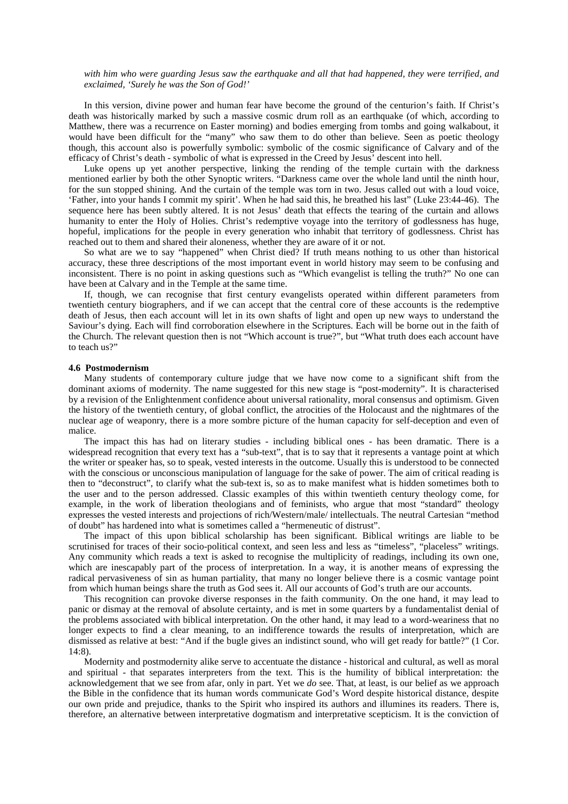*with him who were guarding Jesus saw the earthquake and all that had happened, they were terrified, and exclaimed, 'Surely he was the Son of God!'*

In this version, divine power and human fear have become the ground of the centurion's faith. If Christ's death was historically marked by such a massive cosmic drum roll as an earthquake (of which, according to Matthew, there was a recurrence on Easter morning) and bodies emerging from tombs and going walkabout, it would have been difficult for the "many" who saw them to do other than believe. Seen as poetic theology though, this account also is powerfully symbolic: symbolic of the cosmic significance of Calvary and of the efficacy of Christ's death - symbolic of what is expressed in the Creed by Jesus' descent into hell.

Luke opens up yet another perspective, linking the rending of the temple curtain with the darkness mentioned earlier by both the other Synoptic writers. "Darkness came over the whole land until the ninth hour, for the sun stopped shining. And the curtain of the temple was torn in two. Jesus called out with a loud voice, 'Father, into your hands I commit my spirit'. When he had said this, he breathed his last" (Luke 23:44-46). The sequence here has been subtly altered. It is not Jesus' death that effects the tearing of the curtain and allows humanity to enter the Holy of Holies. Christ's redemptive voyage into the territory of godlessness has huge, hopeful, implications for the people in every generation who inhabit that territory of godlessness. Christ has reached out to them and shared their aloneness, whether they are aware of it or not.

So what are we to say "happened" when Christ died? If truth means nothing to us other than historical accuracy, these three descriptions of the most important event in world history may seem to be confusing and inconsistent. There is no point in asking questions such as "Which evangelist is telling the truth?" No one can have been at Calvary and in the Temple at the same time.

If, though, we can recognise that first century evangelists operated within different parameters from twentieth century biographers, and if we can accept that the central core of these accounts is the redemptive death of Jesus, then each account will let in its own shafts of light and open up new ways to understand the Saviour's dying. Each will find corroboration elsewhere in the Scriptures. Each will be borne out in the faith of the Church. The relevant question then is not "Which account is true?", but "What truth does each account have to teach us?"

#### **4.6 Postmodernism**

Many students of contemporary culture judge that we have now come to a significant shift from the dominant axioms of modernity. The name suggested for this new stage is "post-modernity". It is characterised by a revision of the Enlightenment confidence about universal rationality, moral consensus and optimism. Given the history of the twentieth century, of global conflict, the atrocities of the Holocaust and the nightmares of the nuclear age of weaponry, there is a more sombre picture of the human capacity for self-deception and even of malice.

The impact this has had on literary studies - including biblical ones - has been dramatic. There is a widespread recognition that every text has a "sub-text", that is to say that it represents a vantage point at which the writer or speaker has, so to speak, vested interests in the outcome. Usually this is understood to be connected with the conscious or unconscious manipulation of language for the sake of power. The aim of critical reading is then to "deconstruct", to clarify what the sub-text is, so as to make manifest what is hidden sometimes both to the user and to the person addressed. Classic examples of this within twentieth century theology come, for example, in the work of liberation theologians and of feminists, who argue that most "standard" theology expresses the vested interests and projections of rich/Western/male/ intellectuals. The neutral Cartesian "method of doubt" has hardened into what is sometimes called a "hermeneutic of distrust".

The impact of this upon biblical scholarship has been significant. Biblical writings are liable to be scrutinised for traces of their socio-political context, and seen less and less as "timeless", "placeless" writings. Any community which reads a text is asked to recognise the multiplicity of readings, including its own one, which are inescapably part of the process of interpretation. In a way, it is another means of expressing the radical pervasiveness of sin as human partiality, that many no longer believe there is a cosmic vantage point from which human beings share the truth as God sees it. All our accounts of God's truth are our accounts.

This recognition can provoke diverse responses in the faith community. On the one hand, it may lead to panic or dismay at the removal of absolute certainty, and is met in some quarters by a fundamentalist denial of the problems associated with biblical interpretation. On the other hand, it may lead to a word-weariness that no longer expects to find a clear meaning, to an indifference towards the results of interpretation, which are dismissed as relative at best: "And if the bugle gives an indistinct sound, who will get ready for battle?" (1 Cor. 14:8).

Modernity and postmodernity alike serve to accentuate the distance - historical and cultural, as well as moral and spiritual - that separates interpreters from the text. This is the humility of biblical interpretation: the acknowledgement that we see from afar, only in part. Yet we *do* see. That, at least, is our belief as we approach the Bible in the confidence that its human words communicate God's Word despite historical distance, despite our own pride and prejudice, thanks to the Spirit who inspired its authors and illumines its readers. There is, therefore, an alternative between interpretative dogmatism and interpretative scepticism. It is the conviction of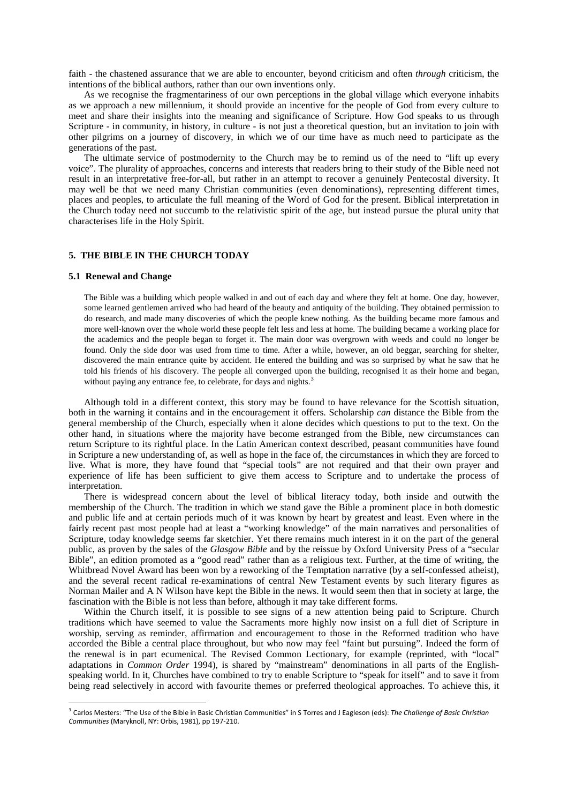faith - the chastened assurance that we are able to encounter, beyond criticism and often *through* criticism, the intentions of the biblical authors, rather than our own inventions only.

As we recognise the fragmentariness of our own perceptions in the global village which everyone inhabits as we approach a new millennium, it should provide an incentive for the people of God from every culture to meet and share their insights into the meaning and significance of Scripture. How God speaks to us through Scripture - in community, in history, in culture - is not just a theoretical question, but an invitation to join with other pilgrims on a journey of discovery, in which we of our time have as much need to participate as the generations of the past.

The ultimate service of postmodernity to the Church may be to remind us of the need to "lift up every voice". The plurality of approaches, concerns and interests that readers bring to their study of the Bible need not result in an interpretative free-for-all, but rather in an attempt to recover a genuinely Pentecostal diversity. It may well be that we need many Christian communities (even denominations), representing different times, places and peoples, to articulate the full meaning of the Word of God for the present. Biblical interpretation in the Church today need not succumb to the relativistic spirit of the age, but instead pursue the plural unity that characterises life in the Holy Spirit.

# **5. THE BIBLE IN THE CHURCH TODAY**

#### **5.1 Renewal and Change**

<u>.</u>

The Bible was a building which people walked in and out of each day and where they felt at home. One day, however, some learned gentlemen arrived who had heard of the beauty and antiquity of the building. They obtained permission to do research, and made many discoveries of which the people knew nothing. As the building became more famous and more well-known over the whole world these people felt less and less at home. The building became a working place for the academics and the people began to forget it. The main door was overgrown with weeds and could no longer be found. Only the side door was used from time to time. After a while, however, an old beggar, searching for shelter, discovered the main entrance quite by accident. He entered the building and was so surprised by what he saw that he told his friends of his discovery. The people all converged upon the building, recognised it as their home and began, without paying any entrance fee, to celebrate, for days and nights.<sup>[3](#page-14-0)</sup>

Although told in a different context, this story may be found to have relevance for the Scottish situation, both in the warning it contains and in the encouragement it offers. Scholarship *can* distance the Bible from the general membership of the Church, especially when it alone decides which questions to put to the text. On the other hand, in situations where the majority have become estranged from the Bible, new circumstances can return Scripture to its rightful place. In the Latin American context described, peasant communities have found in Scripture a new understanding of, as well as hope in the face of, the circumstances in which they are forced to live. What is more, they have found that "special tools" are not required and that their own prayer and experience of life has been sufficient to give them access to Scripture and to undertake the process of interpretation.

There is widespread concern about the level of biblical literacy today, both inside and outwith the membership of the Church. The tradition in which we stand gave the Bible a prominent place in both domestic and public life and at certain periods much of it was known by heart by greatest and least. Even where in the fairly recent past most people had at least a "working knowledge" of the main narratives and personalities of Scripture, today knowledge seems far sketchier. Yet there remains much interest in it on the part of the general public, as proven by the sales of the *Glasgow Bible* and by the reissue by Oxford University Press of a "secular Bible", an edition promoted as a "good read" rather than as a religious text. Further, at the time of writing, the Whitbread Novel Award has been won by a reworking of the Temptation narrative (by a self-confessed atheist), and the several recent radical re-examinations of central New Testament events by such literary figures as Norman Mailer and A N Wilson have kept the Bible in the news. It would seem then that in society at large, the fascination with the Bible is not less than before, although it may take different forms.

Within the Church itself, it is possible to see signs of a new attention being paid to Scripture. Church traditions which have seemed to value the Sacraments more highly now insist on a full diet of Scripture in worship, serving as reminder, affirmation and encouragement to those in the Reformed tradition who have accorded the Bible a central place throughout, but who now may feel "faint but pursuing". Indeed the form of the renewal is in part ecumenical. The Revised Common Lectionary, for example (reprinted, with "local" adaptations in *Common Order* 1994), is shared by "mainstream" denominations in all parts of the Englishspeaking world. In it, Churches have combined to try to enable Scripture to "speak for itself" and to save it from being read selectively in accord with favourite themes or preferred theological approaches. To achieve this, it

<span id="page-14-0"></span><sup>3</sup> Carlos Mesters: "The Use of the Bible in Basic Christian Communities" in S Torres and J Eagleson (eds): *The Challenge of Basic Christian Communities* (Maryknoll, NY: Orbis, 1981), pp 197-210.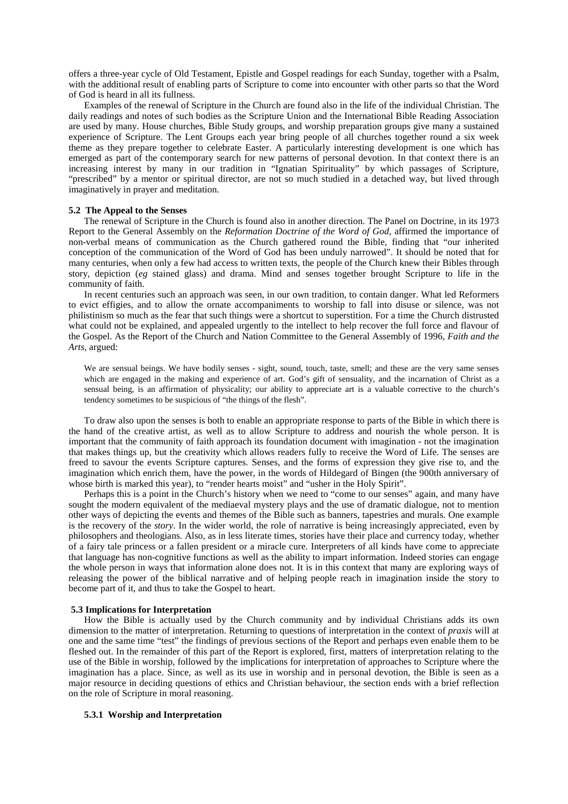offers a three-year cycle of Old Testament, Epistle and Gospel readings for each Sunday, together with a Psalm, with the additional result of enabling parts of Scripture to come into encounter with other parts so that the Word of God is heard in all its fullness.

Examples of the renewal of Scripture in the Church are found also in the life of the individual Christian. The daily readings and notes of such bodies as the Scripture Union and the International Bible Reading Association are used by many. House churches, Bible Study groups, and worship preparation groups give many a sustained experience of Scripture. The Lent Groups each year bring people of all churches together round a six week theme as they prepare together to celebrate Easter. A particularly interesting development is one which has emerged as part of the contemporary search for new patterns of personal devotion. In that context there is an increasing interest by many in our tradition in "Ignatian Spirituality" by which passages of Scripture, "prescribed" by a mentor or spiritual director, are not so much studied in a detached way, but lived through imaginatively in prayer and meditation.

### **5.2 The Appeal to the Senses**

The renewal of Scripture in the Church is found also in another direction. The Panel on Doctrine, in its 1973 Report to the General Assembly on the *Reformation Doctrine of the Word of God,* affirmed the importance of non-verbal means of communication as the Church gathered round the Bible, finding that "our inherited conception of the communication of the Word of God has been unduly narrowed". It should be noted that for many centuries, when only a few had access to written texts, the people of the Church knew their Bibles through story, depiction (*eg* stained glass) and drama. Mind and senses together brought Scripture to life in the community of faith.

In recent centuries such an approach was seen, in our own tradition, to contain danger. What led Reformers to evict effigies, and to allow the ornate accompaniments to worship to fall into disuse or silence, was not philistinism so much as the fear that such things were a shortcut to superstition. For a time the Church distrusted what could not be explained, and appealed urgently to the intellect to help recover the full force and flavour of the Gospel. As the Report of the Church and Nation Committee to the General Assembly of 1996, *Faith and the Arts*, argued:

We are sensual beings. We have bodily senses - sight, sound, touch, taste, smell; and these are the very same senses which are engaged in the making and experience of art. God's gift of sensuality, and the incarnation of Christ as a sensual being, is an affirmation of physicality; our ability to appreciate art is a valuable corrective to the church's tendency sometimes to be suspicious of "the things of the flesh".

To draw also upon the senses is both to enable an appropriate response to parts of the Bible in which there is the hand of the creative artist, as well as to allow Scripture to address and nourish the whole person. It is important that the community of faith approach its foundation document with imagination - not the imagination that makes things up, but the creativity which allows readers fully to receive the Word of Life. The senses are freed to savour the events Scripture captures. Senses, and the forms of expression they give rise to, and the imagination which enrich them, have the power, in the words of Hildegard of Bingen (the 900th anniversary of whose birth is marked this year), to "render hearts moist" and "usher in the Holy Spirit".

Perhaps this is a point in the Church's history when we need to "come to our senses" again, and many have sought the modern equivalent of the mediaeval mystery plays and the use of dramatic dialogue, not to mention other ways of depicting the events and themes of the Bible such as banners, tapestries and murals. One example is the recovery of the *story*. In the wider world, the role of narrative is being increasingly appreciated, even by philosophers and theologians. Also, as in less literate times, stories have their place and currency today, whether of a fairy tale princess or a fallen president or a miracle cure. Interpreters of all kinds have come to appreciate that language has non-cognitive functions as well as the ability to impart information. Indeed stories can engage the whole person in ways that information alone does not. It is in this context that many are exploring ways of releasing the power of the biblical narrative and of helping people reach in imagination inside the story to become part of it, and thus to take the Gospel to heart.

### **5.3 Implications for Interpretation**

How the Bible is actually used by the Church community and by individual Christians adds its own dimension to the matter of interpretation. Returning to questions of interpretation in the context of *praxis* will at one and the same time "test" the findings of previous sections of the Report and perhaps even enable them to be fleshed out. In the remainder of this part of the Report is explored, first, matters of interpretation relating to the use of the Bible in worship, followed by the implications for interpretation of approaches to Scripture where the imagination has a place. Since, as well as its use in worship and in personal devotion, the Bible is seen as a major resource in deciding questions of ethics and Christian behaviour, the section ends with a brief reflection on the role of Scripture in moral reasoning.

# **5.3.1 Worship and Interpretation**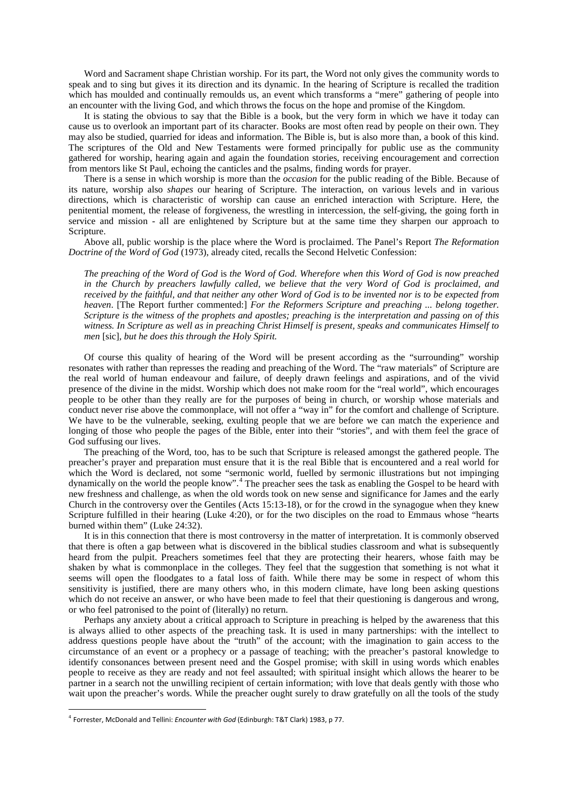Word and Sacrament shape Christian worship. For its part, the Word not only gives the community words to speak and to sing but gives it its direction and its dynamic. In the hearing of Scripture is recalled the tradition which has moulded and continually remoulds us, an event which transforms a "mere" gathering of people into an encounter with the living God, and which throws the focus on the hope and promise of the Kingdom.

It is stating the obvious to say that the Bible is a book, but the very form in which we have it today can cause us to overlook an important part of its character. Books are most often read by people on their own. They may also be studied, quarried for ideas and information. The Bible is, but is also more than, a book of this kind. The scriptures of the Old and New Testaments were formed principally for public use as the community gathered for worship, hearing again and again the foundation stories, receiving encouragement and correction from mentors like St Paul, echoing the canticles and the psalms, finding words for prayer.

There is a sense in which worship is more than the *occasion* for the public reading of the Bible. Because of its nature, worship also *shapes* our hearing of Scripture. The interaction, on various levels and in various directions, which is characteristic of worship can cause an enriched interaction with Scripture. Here, the penitential moment, the release of forgiveness, the wrestling in intercession, the self-giving, the going forth in service and mission - all are enlightened by Scripture but at the same time they sharpen our approach to Scripture.

Above all, public worship is the place where the Word is proclaimed. The Panel's Report *The Reformation Doctrine of the Word of God* (1973), already cited, recalls the Second Helvetic Confession:

*The preaching of the Word of God* is *the Word of God. Wherefore when this Word of God is now preached in the Church by preachers lawfully called, we believe that the very Word of God is proclaimed, and received by the faithful, and that neither any other Word of God is to be invented nor is to be expected from heaven*. [The Report further commented:] *For the Reformers Scripture and preaching ... belong together. Scripture is the witness of the prophets and apostles; preaching is the interpretation and passing on of this witness. In Scripture as well as in preaching Christ Himself is present, speaks and communicates Himself to men* [sic]*, but he does this through the Holy Spirit.*

Of course this quality of hearing of the Word will be present according as the "surrounding" worship resonates with rather than represses the reading and preaching of the Word. The "raw materials" of Scripture are the real world of human endeavour and failure, of deeply drawn feelings and aspirations, and of the vivid presence of the divine in the midst. Worship which does not make room for the "real world", which encourages people to be other than they really are for the purposes of being in church, or worship whose materials and conduct never rise above the commonplace, will not offer a "way in" for the comfort and challenge of Scripture. We have to be the vulnerable, seeking, exulting people that we are before we can match the experience and longing of those who people the pages of the Bible, enter into their "stories", and with them feel the grace of God suffusing our lives.

The preaching of the Word, too, has to be such that Scripture is released amongst the gathered people. The preacher's prayer and preparation must ensure that it is the real Bible that is encountered and a real world for which the Word is declared, not some "sermonic world, fuelled by sermonic illustrations but not impinging dynamically on the world the people know".[4](#page-16-0) The preacher sees the task as enabling the Gospel to be heard with new freshness and challenge, as when the old words took on new sense and significance for James and the early Church in the controversy over the Gentiles (Acts 15:13-18), or for the crowd in the synagogue when they knew Scripture fulfilled in their hearing (Luke 4:20), or for the two disciples on the road to Emmaus whose "hearts burned within them" (Luke 24:32).

It is in this connection that there is most controversy in the matter of interpretation. It is commonly observed that there is often a gap between what is discovered in the biblical studies classroom and what is subsequently heard from the pulpit. Preachers sometimes feel that they are protecting their hearers, whose faith may be shaken by what is commonplace in the colleges. They feel that the suggestion that something is not what it seems will open the floodgates to a fatal loss of faith. While there may be some in respect of whom this sensitivity is justified, there are many others who, in this modern climate, have long been asking questions which do not receive an answer, or who have been made to feel that their questioning is dangerous and wrong, or who feel patronised to the point of (literally) no return.

Perhaps any anxiety about a critical approach to Scripture in preaching is helped by the awareness that this is always allied to other aspects of the preaching task. It is used in many partnerships: with the intellect to address questions people have about the "truth" of the account; with the imagination to gain access to the circumstance of an event or a prophecy or a passage of teaching; with the preacher's pastoral knowledge to identify consonances between present need and the Gospel promise; with skill in using words which enables people to receive as they are ready and not feel assaulted; with spiritual insight which allows the hearer to be partner in a search not the unwilling recipient of certain information; with love that deals gently with those who wait upon the preacher's words. While the preacher ought surely to draw gratefully on all the tools of the study

-

<span id="page-16-0"></span><sup>4</sup> Forrester, McDonald and Tellini: *Encounter with God* (Edinburgh: T&T Clark) 1983, p 77.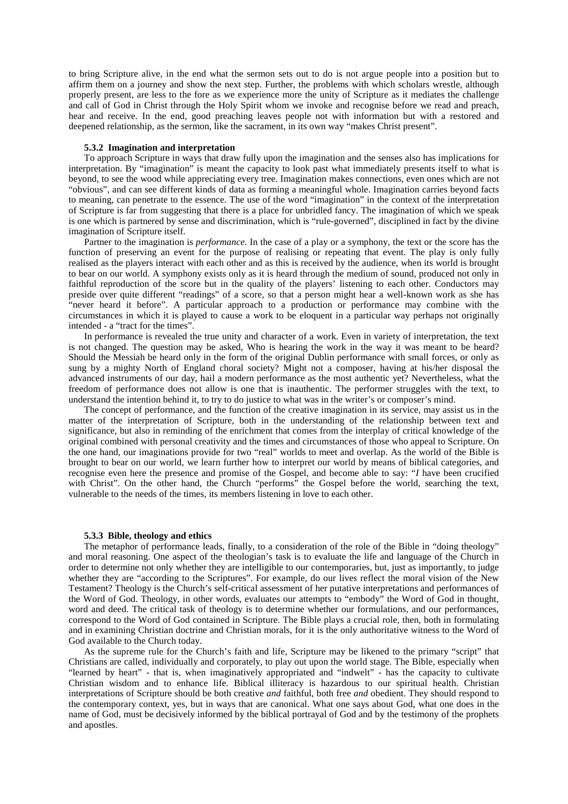to bring Scripture alive, in the end what the sermon sets out to do is not argue people into a position but to affirm them on a journey and show the next step. Further, the problems with which scholars wrestle, although properly present, are less to the fore as we experience more the unity of Scripture as it mediates the challenge and call of God in Christ through the Holy Spirit whom we invoke and recognise before we read and preach, hear and receive. In the end, good preaching leaves people not with information but with a restored and deepened relationship, as the sermon, like the sacrament, in its own way "makes Christ present".

#### **5.3.2 Imagination and interpretation**

To approach Scripture in ways that draw fully upon the imagination and the senses also has implications for interpretation. By "imagination" is meant the capacity to look past what immediately presents itself to what is beyond, to see the wood while appreciating every tree. Imagination makes connections, even ones which are not "obvious", and can see different kinds of data as forming a meaningful whole. Imagination carries beyond facts to meaning, can penetrate to the essence. The use of the word "imagination" in the context of the interpretation of Scripture is far from suggesting that there is a place for unbridled fancy. The imagination of which we speak is one which is partnered by sense and discrimination, which is "rule-governed", disciplined in fact by the divine imagination of Scripture itself.

Partner to the imagination is *performance*. In the case of a play or a symphony, the text or the score has the function of preserving an event for the purpose of realising or repeating that event. The play is only fully realised as the players interact with each other and as this is received by the audience, when its world is brought to bear on our world. A symphony exists only as it is heard through the medium of sound, produced not only in faithful reproduction of the score but in the quality of the players' listening to each other. Conductors may preside over quite different "readings" of a score, so that a person might hear a well-known work as she has "never heard it before". A particular approach to a production or performance may combine with the circumstances in which it is played to cause a work to be eloquent in a particular way perhaps not originally intended - a "tract for the times".

In performance is revealed the true unity and character of a work. Even in variety of interpretation, the text is not changed. The question may be asked, Who is hearing the work in the way it was meant to be heard? Should the Messiah be heard only in the form of the original Dublin performance with small forces, or only as sung by a mighty North of England choral society? Might not a composer, having at his/her disposal the advanced instruments of our day, hail a modern performance as the most authentic yet? Nevertheless, what the freedom of performance does not allow is one that is inauthentic. The performer struggles with the text, to understand the intention behind it, to try to do justice to what was in the writer's or composer's mind.

The concept of performance, and the function of the creative imagination in its service, may assist us in the matter of the interpretation of Scripture, both in the understanding of the relationship between text and significance, but also in reminding of the enrichment that comes from the interplay of critical knowledge of the original combined with personal creativity and the times and circumstances of those who appeal to Scripture. On the one hand, our imaginations provide for two "real" worlds to meet and overlap. As the world of the Bible is brought to bear on our world, we learn further how to interpret our world by means of biblical categories, and recognise even here the presence and promise of the Gospel, and become able to say: "*I* have been crucified with Christ". On the other hand, the Church "performs" the Gospel before the world, searching the text, vulnerable to the needs of the times, its members listening in love to each other.

### **5.3.3 Bible, theology and ethics**

The metaphor of performance leads, finally, to a consideration of the role of the Bible in "doing theology" and moral reasoning. One aspect of the theologian's task is to evaluate the life and language of the Church in order to determine not only whether they are intelligible to our contemporaries, but, just as importantly, to judge whether they are "according to the Scriptures". For example, do our lives reflect the moral vision of the New Testament? Theology is the Church's self-critical assessment of her putative interpretations and performances of the Word of God. Theology, in other words, evaluates our attempts to "embody" the Word of God in thought, word and deed. The critical task of theology is to determine whether our formulations, and our performances, correspond to the Word of God contained in Scripture. The Bible plays a crucial role, then, both in formulating and in examining Christian doctrine and Christian morals, for it is the only authoritative witness to the Word of God available to the Church today.

As the supreme rule for the Church's faith and life, Scripture may be likened to the primary "script" that Christians are called, individually and corporately, to play out upon the world stage. The Bible, especially when "learned by heart" - that is, when imaginatively appropriated and "indwelt" - has the capacity to cultivate Christian wisdom and to enhance life. Biblical illiteracy is hazardous to our spiritual health. Christian interpretations of Scripture should be both creative *and* faithful, both free *and* obedient. They should respond to the contemporary context, yes, but in ways that are canonical. What one says about God, what one does in the name of God, must be decisively informed by the biblical portrayal of God and by the testimony of the prophets and apostles.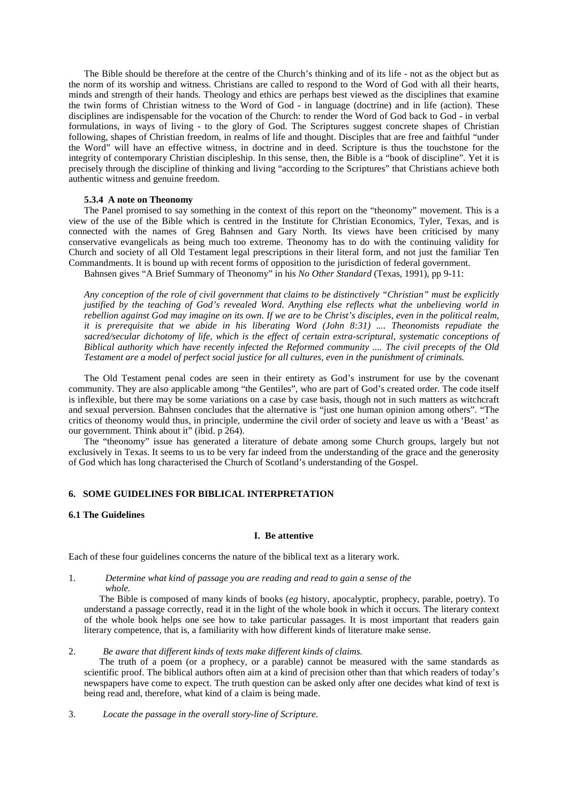The Bible should be therefore at the centre of the Church's thinking and of its life - not as the object but as the norm of its worship and witness. Christians are called to respond to the Word of God with all their hearts, minds and strength of their hands. Theology and ethics are perhaps best viewed as the disciplines that examine the twin forms of Christian witness to the Word of God - in language (doctrine) and in life (action). These disciplines are indispensable for the vocation of the Church: to render the Word of God back to God - in verbal formulations, in ways of living - to the glory of God. The Scriptures suggest concrete shapes of Christian following, shapes of Christian freedom, in realms of life and thought. Disciples that are free and faithful "under the Word" will have an effective witness, in doctrine and in deed. Scripture is thus the touchstone for the integrity of contemporary Christian discipleship. In this sense, then, the Bible is a "book of discipline". Yet it is precisely through the discipline of thinking and living "according to the Scriptures" that Christians achieve both authentic witness and genuine freedom.

#### **5.3.4 A note on Theonomy**

The Panel promised to say something in the context of this report on the "theonomy" movement. This is a view of the use of the Bible which is centred in the Institute for Christian Economics, Tyler, Texas, and is connected with the names of Greg Bahnsen and Gary North. Its views have been criticised by many conservative evangelicals as being much too extreme. Theonomy has to do with the continuing validity for Church and society of all Old Testament legal prescriptions in their literal form, and not just the familiar Ten Commandments. It is bound up with recent forms of opposition to the jurisdiction of federal government.

Bahnsen gives "A Brief Summary of Theonomy" in his *No Other Standard* (Texas, 1991), pp 9-11:

*Any conception of the role of civil government that claims to be distinctively "Christian" must be explicitly justified by the teaching of God's revealed Word. Anything else reflects what the unbelieving world in rebellion against God may imagine on its own. If we are to be Christ's disciples, even in the political realm, it is prerequisite that we abide in his liberating Word (John 8:31) .... Theonomists repudiate the sacred/secular dichotomy of life, which is the effect of certain extra-scriptural, systematic conceptions of Biblical authority which have recently infected the Reformed community .... The civil precepts of the Old Testament are a model of perfect social justice for all cultures, even in the punishment of criminals.*

The Old Testament penal codes are seen in their entirety as God's instrument for use by the covenant community. They are also applicable among "the Gentiles", who are part of God's created order. The code itself is inflexible, but there may be some variations on a case by case basis, though not in such matters as witchcraft and sexual perversion. Bahnsen concludes that the alternative is "just one human opinion among others". "The critics of theonomy would thus, in principle, undermine the civil order of society and leave us with a 'Beast' as our government. Think about it" (ibid. p 264).

The "theonomy" issue has generated a literature of debate among some Church groups, largely but not exclusively in Texas. It seems to us to be very far indeed from the understanding of the grace and the generosity of God which has long characterised the Church of Scotland's understanding of the Gospel.

## **6. SOME GUIDELINES FOR BIBLICAL INTERPRETATION**

### **6.1 The Guidelines**

### **I. Be attentive**

Each of these four guidelines concerns the nature of the biblical text as a literary work.

1. *Determine what kind of passage you are reading and read to gain a sense of the whole.*

The Bible is composed of many kinds of books (*eg* history, apocalyptic, prophecy, parable, poetry). To understand a passage correctly, read it in the light of the whole book in which it occurs. The literary context of the whole book helps one see how to take particular passages. It is most important that readers gain literary competence, that is, a familiarity with how different kinds of literature make sense.

2. *Be aware that different kinds of texts make different kinds of claims.*

The truth of a poem (or a prophecy, or a parable) cannot be measured with the same standards as scientific proof. The biblical authors often aim at a kind of precision other than that which readers of today's newspapers have come to expect. The truth question can be asked only after one decides what kind of text is being read and, therefore, what kind of a claim is being made.

3. *Locate the passage in the overall story-line of Scripture.*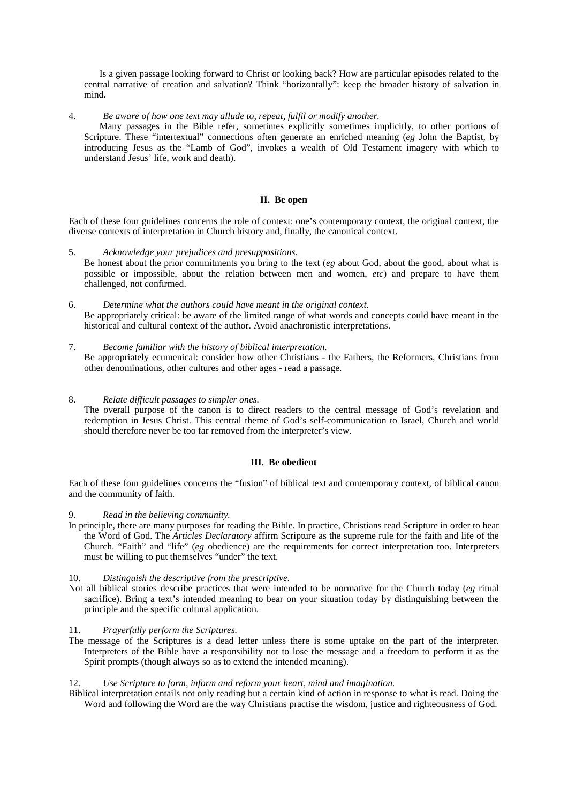Is a given passage looking forward to Christ or looking back? How are particular episodes related to the central narrative of creation and salvation? Think "horizontally": keep the broader history of salvation in mind.

4. *Be aware of how one text may allude to, repeat, fulfil or modify another.*

Many passages in the Bible refer, sometimes explicitly sometimes implicitly, to other portions of Scripture. These "intertextual" connections often generate an enriched meaning (*eg* John the Baptist, by introducing Jesus as the "Lamb of God", invokes a wealth of Old Testament imagery with which to understand Jesus' life, work and death).

# **II. Be open**

Each of these four guidelines concerns the role of context: one's contemporary context, the original context, the diverse contexts of interpretation in Church history and, finally, the canonical context.

- 5. *Acknowledge your prejudices and presuppositions.* Be honest about the prior commitments you bring to the text (*eg* about God, about the good, about what is possible or impossible, about the relation between men and women, *etc*) and prepare to have them challenged, not confirmed.
- 6. *Determine what the authors could have meant in the original context.* Be appropriately critical: be aware of the limited range of what words and concepts could have meant in the historical and cultural context of the author. Avoid anachronistic interpretations.
- 7. *Become familiar with the history of biblical interpretation.* Be appropriately ecumenical: consider how other Christians - the Fathers, the Reformers, Christians from other denominations, other cultures and other ages - read a passage.
- 8. *Relate difficult passages to simpler ones.* The overall purpose of the canon is to direct readers to the central message of God's revelation and redemption in Jesus Christ. This central theme of God's self-communication to Israel, Church and world

should therefore never be too far removed from the interpreter's view.

# **III. Be obedient**

Each of these four guidelines concerns the "fusion" of biblical text and contemporary context, of biblical canon and the community of faith.

- 9. *Read in the believing community.*
- In principle, there are many purposes for reading the Bible. In practice, Christians read Scripture in order to hear the Word of God. The *Articles Declaratory* affirm Scripture as the supreme rule for the faith and life of the Church. "Faith" and "life" (*eg* obedience) are the requirements for correct interpretation too. Interpreters must be willing to put themselves "under" the text.

### 10. *Distinguish the descriptive from the prescriptive.*

Not all biblical stories describe practices that were intended to be normative for the Church today (*eg* ritual sacrifice). Bring a text's intended meaning to bear on your situation today by distinguishing between the principle and the specific cultural application.

### 11. *Prayerfully perform the Scriptures.*

The message of the Scriptures is a dead letter unless there is some uptake on the part of the interpreter. Interpreters of the Bible have a responsibility not to lose the message and a freedom to perform it as the Spirit prompts (though always so as to extend the intended meaning).

### 12. *Use Scripture to form, inform and reform your heart, mind and imagination.*

Biblical interpretation entails not only reading but a certain kind of action in response to what is read. Doing the Word and following the Word are the way Christians practise the wisdom, justice and righteousness of God.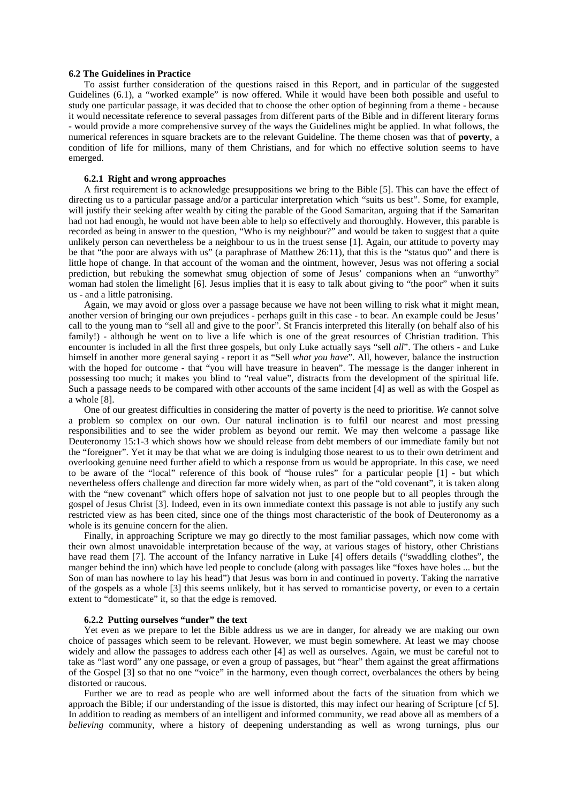### **6.2 The Guidelines in Practice**

To assist further consideration of the questions raised in this Report, and in particular of the suggested Guidelines (6.1), a "worked example" is now offered. While it would have been both possible and useful to study one particular passage, it was decided that to choose the other option of beginning from a theme - because it would necessitate reference to several passages from different parts of the Bible and in different literary forms - would provide a more comprehensive survey of the ways the Guidelines might be applied. In what follows, the numerical references in square brackets are to the relevant Guideline. The theme chosen was that of **poverty**, a condition of life for millions, many of them Christians, and for which no effective solution seems to have emerged.

### **6.2.1 Right and wrong approaches**

A first requirement is to acknowledge presuppositions we bring to the Bible [5]. This can have the effect of directing us to a particular passage and/or a particular interpretation which "suits us best". Some, for example, will justify their seeking after wealth by citing the parable of the Good Samaritan, arguing that if the Samaritan had not had enough, he would not have been able to help so effectively and thoroughly. However, this parable is recorded as being in answer to the question, "Who is my neighbour?" and would be taken to suggest that a quite unlikely person can nevertheless be a neighbour to us in the truest sense [1]. Again, our attitude to poverty may be that "the poor are always with us" (a paraphrase of Matthew 26:11), that this is the "status quo" and there is little hope of change. In that account of the woman and the ointment, however, Jesus was not offering a social prediction, but rebuking the somewhat smug objection of some of Jesus' companions when an "unworthy" woman had stolen the limelight [6]. Jesus implies that it is easy to talk about giving to "the poor" when it suits us - and a little patronising.

Again, we may avoid or gloss over a passage because we have not been willing to risk what it might mean, another version of bringing our own prejudices - perhaps guilt in this case - to bear. An example could be Jesus' call to the young man to "sell all and give to the poor". St Francis interpreted this literally (on behalf also of his family!) - although he went on to live a life which is one of the great resources of Christian tradition. This encounter is included in all the first three gospels, but only Luke actually says "sell *all*". The others - and Luke himself in another more general saying - report it as "Sell *what you have*". All, however, balance the instruction with the hoped for outcome - that "you will have treasure in heaven". The message is the danger inherent in possessing too much; it makes you blind to "real value", distracts from the development of the spiritual life. Such a passage needs to be compared with other accounts of the same incident [4] as well as with the Gospel as a whole [8].

One of our greatest difficulties in considering the matter of poverty is the need to prioritise. *We* cannot solve a problem so complex on our own. Our natural inclination is to fulfil our nearest and most pressing responsibilities and to see the wider problem as beyond our remit. We may then welcome a passage like Deuteronomy 15:1-3 which shows how we should release from debt members of our immediate family but not the "foreigner". Yet it may be that what we are doing is indulging those nearest to us to their own detriment and overlooking genuine need further afield to which a response from us would be appropriate. In this case, we need to be aware of the "local" reference of this book of "house rules" for a particular people [1] - but which nevertheless offers challenge and direction far more widely when, as part of the "old covenant", it is taken along with the "new covenant" which offers hope of salvation not just to one people but to all peoples through the gospel of Jesus Christ [3]. Indeed, even in its own immediate context this passage is not able to justify any such restricted view as has been cited, since one of the things most characteristic of the book of Deuteronomy as a whole is its genuine concern for the alien.

Finally, in approaching Scripture we may go directly to the most familiar passages, which now come with their own almost unavoidable interpretation because of the way, at various stages of history, other Christians have read them [7]. The account of the Infancy narrative in Luke [4] offers details ("swaddling clothes", the manger behind the inn) which have led people to conclude (along with passages like "foxes have holes ... but the Son of man has nowhere to lay his head") that Jesus was born in and continued in poverty. Taking the narrative of the gospels as a whole [3] this seems unlikely, but it has served to romanticise poverty, or even to a certain extent to "domesticate" it, so that the edge is removed.

#### **6.2.2 Putting ourselves "under" the text**

Yet even as we prepare to let the Bible address us we are in danger, for already we are making our own choice of passages which seem to be relevant. However, we must begin somewhere. At least we may choose widely and allow the passages to address each other [4] as well as ourselves. Again, we must be careful not to take as "last word" any one passage, or even a group of passages, but "hear" them against the great affirmations of the Gospel [3] so that no one "voice" in the harmony, even though correct, overbalances the others by being distorted or raucous.

Further we are to read as people who are well informed about the facts of the situation from which we approach the Bible; if our understanding of the issue is distorted, this may infect our hearing of Scripture [cf 5]. In addition to reading as members of an intelligent and informed community, we read above all as members of a *believing* community, where a history of deepening understanding as well as wrong turnings, plus our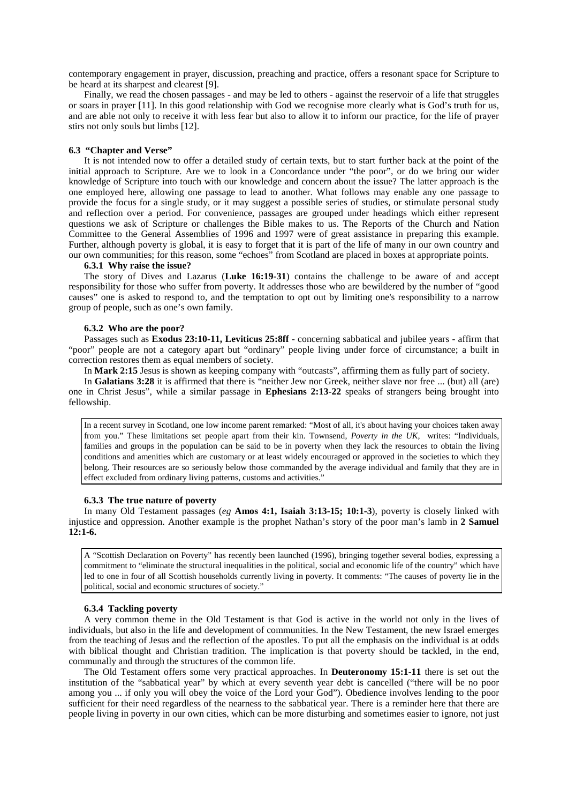contemporary engagement in prayer, discussion, preaching and practice, offers a resonant space for Scripture to be heard at its sharpest and clearest [9].

Finally, we read the chosen passages - and may be led to others - against the reservoir of a life that struggles or soars in prayer [11]. In this good relationship with God we recognise more clearly what is God's truth for us, and are able not only to receive it with less fear but also to allow it to inform our practice, for the life of prayer stirs not only souls but limbs [12].

#### **6.3 "Chapter and Verse"**

It is not intended now to offer a detailed study of certain texts, but to start further back at the point of the initial approach to Scripture. Are we to look in a Concordance under "the poor", or do we bring our wider knowledge of Scripture into touch with our knowledge and concern about the issue? The latter approach is the one employed here, allowing one passage to lead to another. What follows may enable any one passage to provide the focus for a single study, or it may suggest a possible series of studies, or stimulate personal study and reflection over a period. For convenience, passages are grouped under headings which either represent questions we ask of Scripture or challenges the Bible makes to us. The Reports of the Church and Nation Committee to the General Assemblies of 1996 and 1997 were of great assistance in preparing this example. Further, although poverty is global, it is easy to forget that it is part of the life of many in our own country and our own communities; for this reason, some "echoes" from Scotland are placed in boxes at appropriate points.

#### **6.3.1 Why raise the issue?**

The story of Dives and Lazarus (**Luke 16:19-31**) contains the challenge to be aware of and accept responsibility for those who suffer from poverty. It addresses those who are bewildered by the number of "good causes" one is asked to respond to, and the temptation to opt out by limiting one's responsibility to a narrow group of people, such as one's own family.

### **6.3.2 Who are the poor?**

Passages such as **Exodus 23:10-11, Leviticus 25:8ff** - concerning sabbatical and jubilee years - affirm that "poor" people are not a category apart but "ordinary" people living under force of circumstance; a built in correction restores them as equal members of society.

In **Mark 2:15** Jesus is shown as keeping company with "outcasts", affirming them as fully part of society.

In **Galatians 3:28** it is affirmed that there is "neither Jew nor Greek, neither slave nor free ... (but) all (are) one in Christ Jesus", while a similar passage in **Ephesians 2:13-22** speaks of strangers being brought into fellowship.

In a recent survey in Scotland, one low income parent remarked: "Most of all, it's about having your choices taken away from you." These limitations set people apart from their kin. Townsend, *Poverty in the UK,* writes: "Individuals, families and groups in the population can be said to be in poverty when they lack the resources to obtain the living conditions and amenities which are customary or at least widely encouraged or approved in the societies to which they belong. Their resources are so seriously below those commanded by the average individual and family that they are in effect excluded from ordinary living patterns, customs and activities."

#### **6.3.3 The true nature of poverty**

In many Old Testament passages (*eg* **Amos 4:1, Isaiah 3:13-15; 10:1-3**), poverty is closely linked with injustice and oppression. Another example is the prophet Nathan's story of the poor man's lamb in **2 Samuel 12:1-6.**

A "Scottish Declaration on Poverty" has recently been launched (1996), bringing together several bodies, expressing a commitment to "eliminate the structural inequalities in the political, social and economic life of the country" which have led to one in four of all Scottish households currently living in poverty. It comments: "The causes of poverty lie in the political, social and economic structures of society."

### **6.3.4 Tackling poverty**

A very common theme in the Old Testament is that God is active in the world not only in the lives of individuals, but also in the life and development of communities. In the New Testament, the new Israel emerges from the teaching of Jesus and the reflection of the apostles. To put all the emphasis on the individual is at odds with biblical thought and Christian tradition. The implication is that poverty should be tackled, in the end, communally and through the structures of the common life.

The Old Testament offers some very practical approaches. In **Deuteronomy 15:1-11** there is set out the institution of the "sabbatical year" by which at every seventh year debt is cancelled ("there will be no poor among you ... if only you will obey the voice of the Lord your God"). Obedience involves lending to the poor sufficient for their need regardless of the nearness to the sabbatical year. There is a reminder here that there are people living in poverty in our own cities, which can be more disturbing and sometimes easier to ignore, not just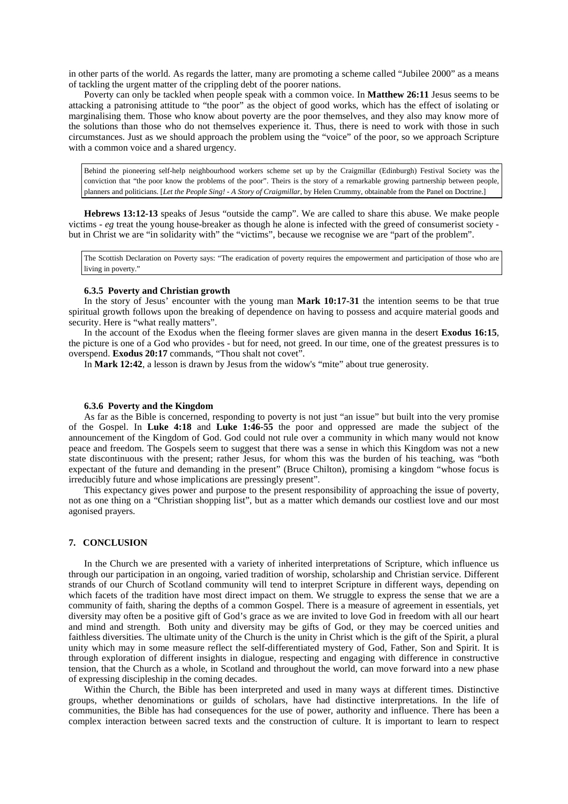in other parts of the world. As regards the latter, many are promoting a scheme called "Jubilee 2000" as a means of tackling the urgent matter of the crippling debt of the poorer nations.

Poverty can only be tackled when people speak with a common voice. In **Matthew 26:11** Jesus seems to be attacking a patronising attitude to "the poor" as the object of good works, which has the effect of isolating or marginalising them. Those who know about poverty are the poor themselves, and they also may know more of the solutions than those who do not themselves experience it. Thus, there is need to work with those in such circumstances. Just as we should approach the problem using the "voice" of the poor, so we approach Scripture with a common voice and a shared urgency.

Behind the pioneering self-help neighbourhood workers scheme set up by the Craigmillar (Edinburgh) Festival Society was the conviction that "the poor know the problems of the poor". Theirs is the story of a remarkable growing partnership between people, planners and politicians. [*Let the People Sing! - A Story of Craigmillar*, by Helen Crummy, obtainable from the Panel on Doctrine.]

**Hebrews 13:12-13** speaks of Jesus "outside the camp". We are called to share this abuse. We make people victims - *eg* treat the young house-breaker as though he alone is infected with the greed of consumerist society but in Christ we are "in solidarity with" the "victims", because we recognise we are "part of the problem".

The Scottish Declaration on Poverty says: "The eradication of poverty requires the empowerment and participation of those who are living in poverty."

# **6.3.5 Poverty and Christian growth**

In the story of Jesus' encounter with the young man **Mark 10:17-31** the intention seems to be that true spiritual growth follows upon the breaking of dependence on having to possess and acquire material goods and security. Here is "what really matters".

In the account of the Exodus when the fleeing former slaves are given manna in the desert **Exodus 16:15**, the picture is one of a God who provides - but for need, not greed. In our time, one of the greatest pressures is to overspend. **Exodus 20:17** commands, "Thou shalt not covet".

In **Mark 12:42**, a lesson is drawn by Jesus from the widow's "mite" about true generosity.

### **6.3.6 Poverty and the Kingdom**

As far as the Bible is concerned, responding to poverty is not just "an issue" but built into the very promise of the Gospel. In **Luke 4:18** and **Luke 1:46-55** the poor and oppressed are made the subject of the announcement of the Kingdom of God. God could not rule over a community in which many would not know peace and freedom. The Gospels seem to suggest that there was a sense in which this Kingdom was not a new state discontinuous with the present; rather Jesus, for whom this was the burden of his teaching, was "both expectant of the future and demanding in the present" (Bruce Chilton), promising a kingdom "whose focus is irreducibly future and whose implications are pressingly present".

This expectancy gives power and purpose to the present responsibility of approaching the issue of poverty, not as one thing on a "Christian shopping list", but as a matter which demands our costliest love and our most agonised prayers.

### **7. CONCLUSION**

In the Church we are presented with a variety of inherited interpretations of Scripture, which influence us through our participation in an ongoing, varied tradition of worship, scholarship and Christian service. Different strands of our Church of Scotland community will tend to interpret Scripture in different ways, depending on which facets of the tradition have most direct impact on them. We struggle to express the sense that we are a community of faith, sharing the depths of a common Gospel. There is a measure of agreement in essentials, yet diversity may often be a positive gift of God's grace as we are invited to love God in freedom with all our heart and mind and strength. Both unity and diversity may be gifts of God, or they may be coerced unities and faithless diversities. The ultimate unity of the Church is the unity in Christ which is the gift of the Spirit, a plural unity which may in some measure reflect the self-differentiated mystery of God, Father, Son and Spirit. It is through exploration of different insights in dialogue, respecting and engaging with difference in constructive tension, that the Church as a whole, in Scotland and throughout the world, can move forward into a new phase of expressing discipleship in the coming decades.

Within the Church, the Bible has been interpreted and used in many ways at different times. Distinctive groups, whether denominations or guilds of scholars, have had distinctive interpretations. In the life of communities, the Bible has had consequences for the use of power, authority and influence. There has been a complex interaction between sacred texts and the construction of culture. It is important to learn to respect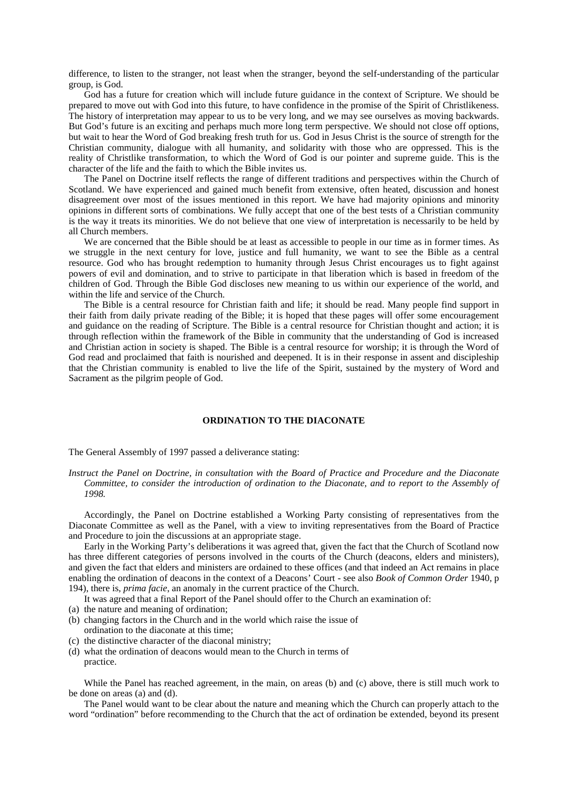difference, to listen to the stranger, not least when the stranger, beyond the self-understanding of the particular group, is God.

God has a future for creation which will include future guidance in the context of Scripture. We should be prepared to move out with God into this future, to have confidence in the promise of the Spirit of Christlikeness. The history of interpretation may appear to us to be very long, and we may see ourselves as moving backwards. But God's future is an exciting and perhaps much more long term perspective. We should not close off options, but wait to hear the Word of God breaking fresh truth for us. God in Jesus Christ is the source of strength for the Christian community, dialogue with all humanity, and solidarity with those who are oppressed. This is the reality of Christlike transformation, to which the Word of God is our pointer and supreme guide. This is the character of the life and the faith to which the Bible invites us.

The Panel on Doctrine itself reflects the range of different traditions and perspectives within the Church of Scotland. We have experienced and gained much benefit from extensive, often heated, discussion and honest disagreement over most of the issues mentioned in this report. We have had majority opinions and minority opinions in different sorts of combinations. We fully accept that one of the best tests of a Christian community is the way it treats its minorities. We do not believe that one view of interpretation is necessarily to be held by all Church members.

We are concerned that the Bible should be at least as accessible to people in our time as in former times. As we struggle in the next century for love, justice and full humanity, we want to see the Bible as a central resource. God who has brought redemption to humanity through Jesus Christ encourages us to fight against powers of evil and domination, and to strive to participate in that liberation which is based in freedom of the children of God. Through the Bible God discloses new meaning to us within our experience of the world, and within the life and service of the Church.

The Bible is a central resource for Christian faith and life; it should be read. Many people find support in their faith from daily private reading of the Bible; it is hoped that these pages will offer some encouragement and guidance on the reading of Scripture. The Bible is a central resource for Christian thought and action; it is through reflection within the framework of the Bible in community that the understanding of God is increased and Christian action in society is shaped. The Bible is a central resource for worship; it is through the Word of God read and proclaimed that faith is nourished and deepened. It is in their response in assent and discipleship that the Christian community is enabled to live the life of the Spirit, sustained by the mystery of Word and Sacrament as the pilgrim people of God.

### **ORDINATION TO THE DIACONATE**

The General Assembly of 1997 passed a deliverance stating:

*Instruct the Panel on Doctrine, in consultation with the Board of Practice and Procedure and the Diaconate Committee, to consider the introduction of ordination to the Diaconate, and to report to the Assembly of 1998.*

Accordingly, the Panel on Doctrine established a Working Party consisting of representatives from the Diaconate Committee as well as the Panel, with a view to inviting representatives from the Board of Practice and Procedure to join the discussions at an appropriate stage.

Early in the Working Party's deliberations it was agreed that, given the fact that the Church of Scotland now has three different categories of persons involved in the courts of the Church (deacons, elders and ministers), and given the fact that elders and ministers are ordained to these offices (and that indeed an Act remains in place enabling the ordination of deacons in the context of a Deacons' Court - see also *Book of Common Order* 1940, p 194), there is, *prima facie*, an anomaly in the current practice of the Church.

It was agreed that a final Report of the Panel should offer to the Church an examination of:

- (a) the nature and meaning of ordination;
- (b) changing factors in the Church and in the world which raise the issue of ordination to the diaconate at this time;
- (c) the distinctive character of the diaconal ministry;
- (d) what the ordination of deacons would mean to the Church in terms of practice.

While the Panel has reached agreement, in the main, on areas (b) and (c) above, there is still much work to be done on areas (a) and (d).

The Panel would want to be clear about the nature and meaning which the Church can properly attach to the word "ordination" before recommending to the Church that the act of ordination be extended, beyond its present